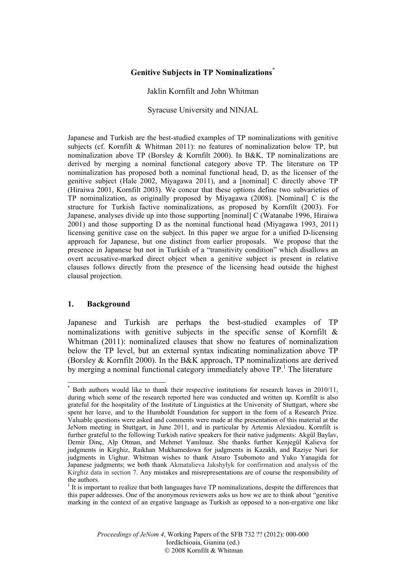# **Genitive Subjects in TP Nominalizations\***

Jaklin Kornfilt and John Whitman

Syracuse University and NINJAL

Japanese and Turkish are the best-studied examples of TP nominalizations with genitive subjects (cf. Kornfilt & Whitman 2011): no features of nominalization below TP, but nominalization above TP (Borsley & Kornfilt 2000). In B&K, TP nominalizations are derived by merging a nominal functional category above TP. The literature on TP nominalization has proposed both a nominal functional head, D, as the licenser of the genitive subject (Hale 2002, Miyagawa 2011), and a [nominal] C directly above TP (Hiraiwa 2001, Kornfilt 2003). We concur that these options define two subvarieties of TP nominalization, as originally proposed by Miyagawa (2008). [Nominal] C is the structure for Turkish factive nominalizations, as proposed by Kornfilt (2003). For Japanese, analyses divide up into those supporting [nominal] C (Watanabe 1996, Hiraiwa 2001) and those supporting D as the nominal functional head (Miyagawa 1993, 2011) licensing genitive case on the subject. In this paper we argue for a unified D-licensing approach for Japanese, but one distinct from earlier proposals. We propose that the presence in Japanese but not in Turkish of a "transitivity condition" which disallows an overt accusative-marked direct object when a genitive subject is present in relative clauses follows directly from the presence of the licensing head outside the highest clausal projection.

# **1. Background**

Japanese and Turkish are perhaps the best-studied examples of TP nominalizations with genitive subjects in the specific sense of Kornfilt & Whitman (2011): nominalized clauses that show no features of nominalization below the TP level, but an external syntax indicating nominalization above TP (Borsley & Kornfilt 2000). In the B&K approach, TP nominalizations are derived by merging a nominal functional category immediately above  $TP<sup>1</sup>$ . The literature

 \* Both authors would like to thank their respective institutions for research leaves in 2010/11, during which some of the research reported here was conducted and written up. Kornfilt is also grateful for the hospitality of the Institute of Linguistics at the University of Stuttgart, where she spent her leave, and to the Humboldt Foundation for support in the form of a Research Prize. Valuable questions were asked and comments were made at the presentation of this material at the JeNom meeting in Stuttgart, in June 2011, and in particular by Artemis Alexiadou. Kornfilt is further grateful to the following Turkish native speakers for their native judgments: Akgül Baylav, Demir Dinç, Alp Otman, and Mehmet Yanılmaz. She thanks further Kenjegül Kalieva for judgments in Kirghiz, Raikhan Mukhamedowa for judgments in Kazakh, and Raziye Nuri for judgments in Uighur. Whitman wishes to thank Atsuro Tsubomoto and Yuko Yanagida for Japanese judgments; we both thank Akmatalieva Jakshylyk for confirmation and analysis of the Kirghiz data in section 7. Any mistakes and misrepresentations are of course the responsibility of the authors.

 $<sup>1</sup>$  It is important to realize that both languages have TP nominalizations, despite the differences that</sup> this paper addresses. One of the anonymous reviewers asks us how we are to think about "genitive marking in the context of an ergative language as Turkish as opposed to a non-ergative one like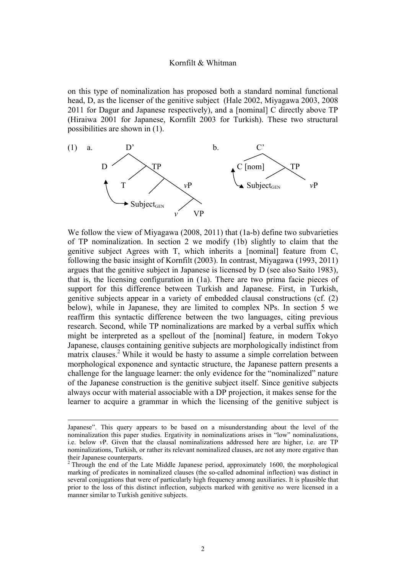on this type of nominalization has proposed both a standard nominal functional head, D, as the licenser of the genitive subject (Hale 2002, Miyagawa 2003, 2008 2011 for Dagur and Japanese respectively), and a [nominal] C directly above TP (Hiraiwa 2001 for Japanese, Kornfilt 2003 for Turkish). These two structural possibilities are shown in (1).



We follow the view of Miyagawa (2008, 2011) that (1a-b) define two subvarieties of TP nominalization. In section 2 we modify (1b) slightly to claim that the genitive subject Agrees with T, which inherits a [nominal] feature from C, following the basic insight of Kornfilt (2003). In contrast, Miyagawa (1993, 2011) argues that the genitive subject in Japanese is licensed by D (see also Saito 1983), that is, the licensing configuration in (1a). There are two prima facie pieces of support for this difference between Turkish and Japanese. First, in Turkish, genitive subjects appear in a variety of embedded clausal constructions (cf. (2) below), while in Japanese, they are limited to complex NPs. In section 5 we reaffirm this syntactic difference between the two languages, citing previous research. Second, while TP nominalizations are marked by a verbal suffix which might be interpreted as a spellout of the [nominal] feature, in modern Tokyo Japanese, clauses containing genitive subjects are morphologically indistinct from matrix clauses.<sup>2</sup> While it would be hasty to assume a simple correlation between morphological exponence and syntactic structure, the Japanese pattern presents a challenge for the language learner: the only evidence for the "nominalized" nature of the Japanese construction is the genitive subject itself. Since genitive subjects always occur with material associable with a DP projection, it makes sense for the learner to acquire a grammar in which the licensing of the genitive subject is

<u> 1989 - Andrea San Andrew Maria (h. 1989).</u><br>1900 - Johann British, fransk politik (h. 1980).

Japanese". This query appears to be based on a misunderstanding about the level of the nominalization this paper studies. Ergativity in nominalizations arises in "low" nominalizations, i.e. below *v*P. Given that the clausal nominalizations addressed here are higher, i.e. are TP nominalizations, Turkish, or rather its relevant nominalized clauses, are not any more ergative than their Japanese counterparts.

<sup>&</sup>lt;sup>2</sup> Through the end of the Late Middle Japanese period, approximately 1600, the morphological marking of predicates in nominalized clauses (the so-called adnominal inflection) was distinct in several conjugations that were of particularly high frequency among auxiliaries. It is plausible that prior to the loss of this distinct inflection, subjects marked with genitive *no* were licensed in a manner similar to Turkish genitive subjects.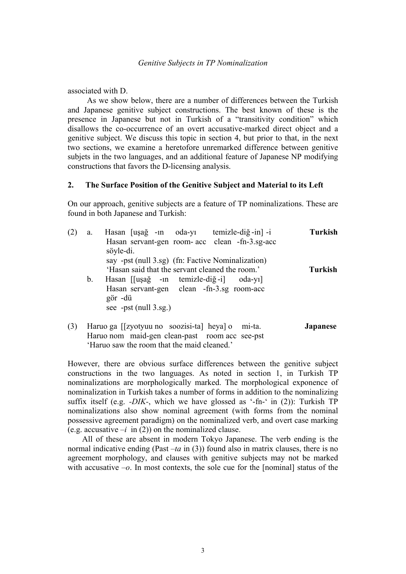associated with D.

 As we show below, there are a number of differences between the Turkish and Japanese genitive subject constructions. The best known of these is the presence in Japanese but not in Turkish of a "transitivity condition" which disallows the co-occurrence of an overt accusative-marked direct object and a genitive subject. We discuss this topic in section 4, but prior to that, in the next two sections, we examine a heretofore unremarked difference between genitive subjets in the two languages, and an additional feature of Japanese NP modifying constructions that favors the D-licensing analysis.

# **2. The Surface Position of the Genitive Subject and Material to its Left**

On our approach, genitive subjects are a feature of TP nominalizations. These are found in both Japanese and Turkish:

| (2) | a.            | Hasan [uşağ -ın oda-yı temizle-diğ-in] -i                                                            | Turkish            |
|-----|---------------|------------------------------------------------------------------------------------------------------|--------------------|
|     |               | Hasan servant-gen room- acc clean -fn-3.sg-acc<br>söyle-di.                                          |                    |
|     |               | say -pst (null 3.sg) (fn: Factive Nominalization)<br>'Hasan said that the servant cleaned the room.' | Turkish            |
|     | $\mathbf b$ . | Hasan [[uṣağ -in temizle-diğ-i] oda-yı]<br>Hasan servant-gen clean -fn-3.sg room-acc                 |                    |
|     |               | gör -dü<br>see -pst $(null 3.sg.)$                                                                   |                    |
| (2) |               |                                                                                                      | $\mathbf{I}$ anana |

(3) Haruo ga [[zyotyuu no soozisi-ta] heya] o mi-ta. **Japanese** Haruo nom maid-gen clean-past room acc see-pst 'Haruo saw the room that the maid cleaned.'

However, there are obvious surface differences between the genitive subject constructions in the two languages. As noted in section 1, in Turkish TP nominalizations are morphologically marked. The morphological exponence of nominalization in Turkish takes a number of forms in addition to the nominalizing suffix itself (e.g. *-DIK-*, which we have glossed as '-fn-' in (2)): Turkish TP nominalizations also show nominal agreement (with forms from the nominal possessive agreement paradigm) on the nominalized verb, and overt case marking (e.g. accusative  $-i$  in (2)) on the nominalized clause.

 All of these are absent in modern Tokyo Japanese. The verb ending is the normal indicative ending (Past *–ta* in (3)) found also in matrix clauses, there is no agreement morphology, and clauses with genitive subjects may not be marked with accusative  $-o$ . In most contexts, the sole cue for the [nominal] status of the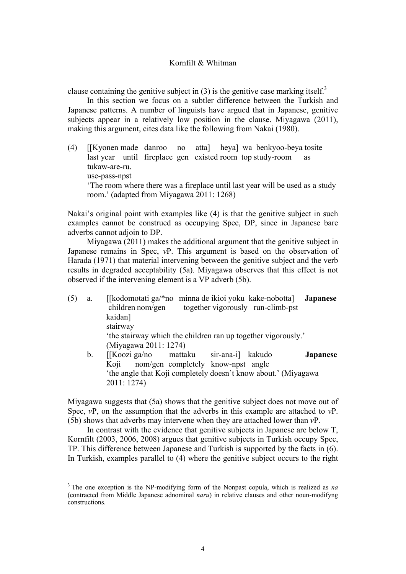clause containing the genitive subject in  $(3)$  is the genitive case marking itself.<sup>3</sup>

 In this section we focus on a subtler difference between the Turkish and Japanese patterns. A number of linguists have argued that in Japanese, genitive subjects appear in a relatively low position in the clause. Miyagawa (2011), making this argument, cites data like the following from Nakai (1980).

(4) [[Kyonen made danroo no atta] heya] wa benkyoo-beya tosite last year until fireplace gen existed room top study-room as tukaw-are-ru. use-pass-npst 'The room where there was a fireplace until last year will be used as a study room.' (adapted from Miyagawa 2011: 1268)

Nakai's original point with examples like (4) is that the genitive subject in such examples cannot be construed as occupying Spec, DP, since in Japanese bare adverbs cannot adjoin to DP.

Miyagawa (2011) makes the additional argument that the genitive subject in Japanese remains in Spec, *v*P. This argument is based on the observation of Harada (1971) that material intervening between the genitive subject and the verb results in degraded acceptability (5a). Miyagawa observes that this effect is not observed if the intervening element is a VP adverb (5b).

- (5) a. [[kodomotati ga/\*no minna de ikioi yoku kake-nobotta] **Japanese** children nom/gen together vigorously run-climb-pst kaidan] stairway 'the stairway which the children ran up together vigorously.' (Miyagawa 2011: 1274) b. [[Koozi ga/no mattaku sir-ana-i] kakudo **Japanese**  Koji nom/gen completely know-npst angle
	- 'the angle that Koji completely doesn't know about.' (Miyagawa 2011: 1274)

Miyagawa suggests that (5a) shows that the genitive subject does not move out of Spec,  $vP$ , on the assumption that the adverbs in this example are attached to  $vP$ . (5b) shows that adverbs may intervene when they are attached lower than *v*P.

 In contrast with the evidence that genitive subjects in Japanese are below T, Kornfilt (2003, 2006, 2008) argues that genitive subjects in Turkish occupy Spec, TP. This difference between Japanese and Turkish is supported by the facts in (6). In Turkish, examples parallel to (4) where the genitive subject occurs to the right

 

<sup>3</sup> The one exception is the NP-modifying form of the Nonpast copula, which is realized as *na* (contracted from Middle Japanese adnominal *naru*) in relative clauses and other noun-modifyng constructions.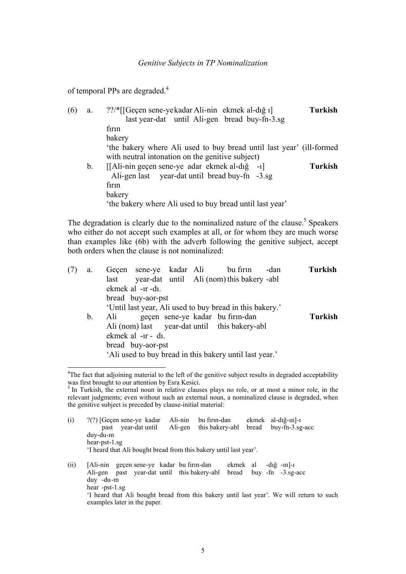of temporal PPs are degraded. $4$ 

| (6) | a. | ??/*[[Geçen sene-yekadar Ali-nin ekmek al-dığı]                                                                          | Turkish |
|-----|----|--------------------------------------------------------------------------------------------------------------------------|---------|
|     |    | last year-dat until Ali-gen bread buy-fn-3.sg                                                                            |         |
|     |    | firin                                                                                                                    |         |
|     |    | bakery                                                                                                                   |         |
|     |    | 'the bakery where Ali used to buy bread until last year' (ill-formed<br>with neutral intonation on the genitive subject) |         |
|     | b. | [[Ali-nin geçen sene-ye adar ekmek al-dığ -1]<br>Ali-gen last year-dat until bread buy-fn -3.sg<br>firin                 | Turkish |
|     |    | bakery                                                                                                                   |         |
|     |    | 'the bakery where Ali used to buy bread until last year'                                                                 |         |

The degradation is clearly due to the nominalized nature of the clause.<sup>5</sup> Speakers who either do not accept such examples at all, or for whom they are much worse than examples like (6b) with the adverb following the genitive subject, accept both orders when the clause is not nominalized:

| (7) | a.             | Geçen sene-ye kadar Ali bu firin<br>-dan                 | <b>Turkish</b> |
|-----|----------------|----------------------------------------------------------|----------------|
|     |                | year-dat until Ali (nom) this bakery -abl<br>last        |                |
|     |                | ekmek al -ir -di.                                        |                |
|     |                | bread buy-aor-pst                                        |                |
|     |                | 'Until last year, Ali used to buy bread in this bakery.' |                |
|     | $\mathbf{b}$ . | geçen sene-ye kadar bu firin-dan<br>Ali                  | Turkish        |
|     |                | Ali (nom) last year-dat until this bakery-abl            |                |
|     |                | ekmek al -1r - d1.                                       |                |
|     |                | bread buy-aor-pst                                        |                |
|     |                | 'Ali used to buy bread in this bakery until last year.'  |                |
|     |                |                                                          |                |

 <sup>4</sup>The fact that adjoining material to the left of the genitive subject results in degraded acceptability was first brought to our attention by Esra Kesici.<br><sup>5</sup> In Turkish, the external noun in relative clauses plays no role, or at most a minor role, in the

relevant judgments; even without such an external noun, a nominalized clause is degraded, when the genitive subject is preceded by clause-initial material:

| (i)  | $?$ (?) [Geçen sene-ye kadar<br>past                                                                                     | vear-dat until                                                                           | Ali-nin<br>Ali-gen | bu firin-dan<br>this bakery-abl bread                             |  | $ekmek$ al-dığ- $n$ ]-1<br>$buy$ -fn-3.sg-acc                 |  |  |  |  |  |
|------|--------------------------------------------------------------------------------------------------------------------------|------------------------------------------------------------------------------------------|--------------------|-------------------------------------------------------------------|--|---------------------------------------------------------------|--|--|--|--|--|
|      | duy-du-m                                                                                                                 |                                                                                          |                    |                                                                   |  |                                                               |  |  |  |  |  |
|      | $hear-pst-1.sg$                                                                                                          |                                                                                          |                    |                                                                   |  |                                                               |  |  |  |  |  |
|      |                                                                                                                          |                                                                                          |                    | 'I heard that Ali bought bread from this bakery until last year'. |  |                                                               |  |  |  |  |  |
| (ii) | $\frac{duy}{du}$ -du-m                                                                                                   | [Ali-nin geçen sene-ye kadar bu firin-dan<br>Ali-gen past year-dat until this bakery-abl |                    |                                                                   |  | ekmek al $-d_1 \xi$ -1n $ -1$<br>$bread$ buy $-fn -3.$ sg-acc |  |  |  |  |  |
|      | hear $-pst-1.sg$                                                                                                         |                                                                                          |                    |                                                                   |  |                                                               |  |  |  |  |  |
|      | If heard that Ali bought bread from this bakery until last year'. We will return to such<br>examples later in the paper. |                                                                                          |                    |                                                                   |  |                                                               |  |  |  |  |  |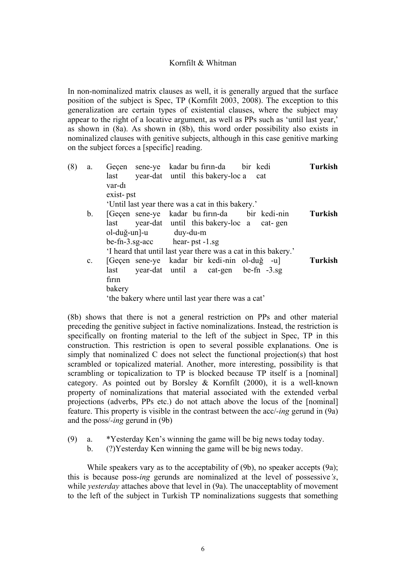In non-nominalized matrix clauses as well, it is generally argued that the surface position of the subject is Spec, TP (Kornfilt 2003, 2008). The exception to this generalization are certain types of existential clauses, where the subject may appear to the right of a locative argument, as well as PPs such as 'until last year,' as shown in (8a). As shown in (8b), this word order possibility also exists in nominalized clauses with genitive subjects, although in this case genitive marking on the subject forces a [specific] reading.

| (8) | a.             | Geçen sene-ye kadar bu firin-da bir kedi<br>year-dat until this bakery-loc a cat<br>last                                                                                                                                    | <b>Turkish</b> |
|-----|----------------|-----------------------------------------------------------------------------------------------------------------------------------------------------------------------------------------------------------------------------|----------------|
|     |                | var-di<br>exist-pst<br>'Until last year there was a cat in this bakery.'                                                                                                                                                    |                |
|     | $b_{\cdot}$    | [Gecen sene-ye kadar bu firm-da bir kedi-nin<br>year-dat until this bakery-loc a cat-gen<br>last<br>ol-duğ-un]-u duy-du-m<br>$be-fn-3.sg-acc$ hear-pst-1.sg<br>I heard that until last year there was a cat in this bakery. | <b>Turkish</b> |
|     | $\mathbf{c}$ . | [Geçen sene-ye kadar bir kedi-nin ol-duğ -u]<br>year-dat until a cat-gen be-fn -3.sg<br>last<br>firin<br>bakery<br>the bakery where until last year there was a cat'                                                        | <b>Turkish</b> |

(8b) shows that there is not a general restriction on PPs and other material preceding the genitive subject in factive nominalizations. Instead, the restriction is specifically on fronting material to the left of the subject in Spec, TP in this construction. This restriction is open to several possible explanations. One is simply that nominalized C does not select the functional projection(s) that host scrambled or topicalized material. Another, more interesting, possibility is that scrambling or topicalization to TP is blocked because TP itself is a [nominal] category. As pointed out by Borsley & Kornfilt (2000), it is a well-known property of nominalizations that material associated with the extended verbal projections (adverbs, PPs etc.) do not attach above the locus of the [nominal] feature. This property is visible in the contrast between the acc/*-ing* gerund in (9a) and the poss/*-ing* gerund in (9b)

- (9) a. \*Yesterday Ken's winning the game will be big news today today.
	- b. (?)Yesterday Ken winning the game will be big news today.

While speakers vary as to the acceptability of (9b), no speaker accepts (9a); this is because poss-*ing* gerunds are nominalized at the level of possessive*'s*, while *yesterday* attaches above that level in (9a). The unacceptablity of movement to the left of the subject in Turkish TP nominalizations suggests that something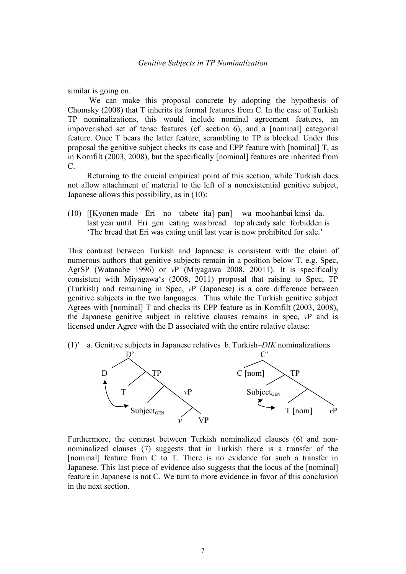similar is going on.

 We can make this proposal concrete by adopting the hypothesis of Chomsky (2008) that T inherits its formal features from C. In the case of Turkish TP nominalizations, this would include nominal agreement features, an impoverished set of tense features (cf. section 6), and a [nominal] categorial feature. Once T bears the latter feature, scrambling to TP is blocked. Under this proposal the genitive subject checks its case and EPP feature with [nominal] T, as in Kornfilt (2003, 2008), but the specifically [nominal] features are inherited from C.

Returning to the crucial empirical point of this section, while Turkish does not allow attachment of material to the left of a nonexistential genitive subject, Japanese allows this possibility, as in (10):

(10) [[Kyonen made Eri no tabete ita] pan] wa moo hanbai kinsi da. last year until Eri gen eating was bread top already sale forbidden is 'The bread that Eri was eating until last year is now prohibited for sale.'

This contrast between Turkish and Japanese is consistent with the claim of numerous authors that genitive subjects remain in a position below T, e.g. Spec, AgrSP (Watanabe 1996) or *v*P (Miyagawa 2008, 20011). It is specifically consistent with Miyagawa's (2008, 2011) proposal that raising to Spec, TP (Turkish) and remaining in Spec, *v*P (Japanese) is a core difference between genitive subjects in the two languages. Thus while the Turkish genitive subject Agrees with [nominal] T and checks its EPP feature as in Kornfilt (2003, 2008), the Japanese genitive subject in relative clauses remains in spec, *v*P and is licensed under Agree with the D associated with the entire relative clause:

(1)' a. Genitive subjects in Japanese relatives b. Turkish*–DIK* nominalizations



Furthermore, the contrast between Turkish nominalized clauses (6) and nonnominalized clauses (7) suggests that in Turkish there is a transfer of the [nominal] feature from C to T. There is no evidence for such a transfer in Japanese. This last piece of evidence also suggests that the locus of the [nominal] feature in Japanese is not C. We turn to more evidence in favor of this conclusion in the next section.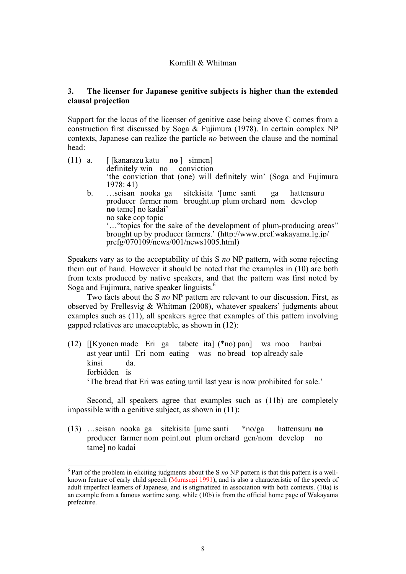# **3. The licenser for Japanese genitive subjects is higher than the extended clausal projection**

Support for the locus of the licenser of genitive case being above C comes from a construction first discussed by Soga & Fujimura (1978). In certain complex NP contexts, Japanese can realize the particle *no* between the clause and the nominal head:

| $(11)$ a.   | [[kanarazu katu <b>no</b> ] sinnen]                                                                                                                                             |
|-------------|---------------------------------------------------------------------------------------------------------------------------------------------------------------------------------|
|             | definitely win no conviction                                                                                                                                                    |
|             | 'the conviction that (one) will definitely win' (Soga and Fujimura                                                                                                              |
|             | 1978:41)                                                                                                                                                                        |
| $b_{\cdot}$ | sitekisita '[ume santi ga hattensuru<br>seisan nooka ga<br>producer farmer nom brought up plum orchard nom develop<br>no tame] no kadai'<br>no sake cop topic                   |
|             | "" topics for the sake of the development of plum-producing areas"<br>brought up by producer farmers.' (http://www.pref.wakayama.lg.jp/<br>prefg/070109/news/001/news1005.html) |

Speakers vary as to the acceptability of this S *no* NP pattern, with some rejecting them out of hand. However it should be noted that the examples in (10) are both from texts produced by native speakers, and that the pattern was first noted by Soga and Fujimura, native speaker linguists.<sup>6</sup>

Two facts about the S *no* NP pattern are relevant to our discussion. First, as observed by Frellesvig & Whitman (2008), whatever speakers' judgments about examples such as (11), all speakers agree that examples of this pattern involving gapped relatives are unacceptable, as shown in (12):

(12) [[Kyonen made Eri ga tabete ita] (\*no) pan] wa moo hanbai ast year until Eri nom eating was no bread top already sale kinsi da. forbidden is 'The bread that Eri was eating until last year is now prohibited for sale.'

 Second, all speakers agree that examples such as (11b) are completely impossible with a genitive subject, as shown in (11):

(13) …seisan nooka ga sitekisita [ume santi \*no/ga hattensuru **no** producer farmer nom point.out plum orchard gen/nom develop no tame] no kadai

 

<sup>&</sup>lt;sup>6</sup> Part of the problem in eliciting judgments about the S no NP pattern is that this pattern is a wellknown feature of early child speech (Murasugi 1991), and is also a characteristic of the speech of adult imperfect learners of Japanese, and is stigmatized in association with both contexts. (10a) is an example from a famous wartime song, while (10b) is from the official home page of Wakayama prefecture.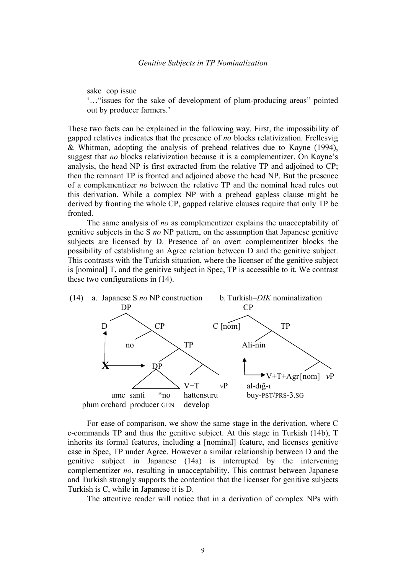sake cop issue

'…"issues for the sake of development of plum-producing areas" pointed out by producer farmers.'

These two facts can be explained in the following way. First, the impossibility of gapped relatives indicates that the presence of *no* blocks relativization. Frellesvig & Whitman, adopting the analysis of prehead relatives due to Kayne (1994), suggest that *no* blocks relativization because it is a complementizer. On Kayne's analysis, the head NP is first extracted from the relative TP and adjoined to CP; then the remnant TP is fronted and adjoined above the head NP. But the presence of a complementizer *no* between the relative TP and the nominal head rules out this derivation. While a complex NP with a prehead gapless clause might be derived by fronting the whole CP, gapped relative clauses require that only TP be fronted.

The same analysis of *no* as complementizer explains the unacceptability of genitive subjects in the S *no* NP pattern, on the assumption that Japanese genitive subjects are licensed by D. Presence of an overt complementizer blocks the possibility of establishing an Agree relation between D and the genitive subject. This contrasts with the Turkish situation, where the licenser of the genitive subject is [nominal] T, and the genitive subject in Spec, TP is accessible to it. We contrast these two configurations in (14).



For ease of comparison, we show the same stage in the derivation, where C c-commands TP and thus the genitive subject. At this stage in Turkish (14b), T inherits its formal features, including a [nominal] feature, and licenses genitive case in Spec, TP under Agree. However a similar relationship between D and the genitive subject in Japanese (14a) is interrupted by the intervening complementizer *no*, resulting in unacceptability. This contrast between Japanese and Turkish strongly supports the contention that the licenser for genitive subjects Turkish is C, while in Japanese it is D.

The attentive reader will notice that in a derivation of complex NPs with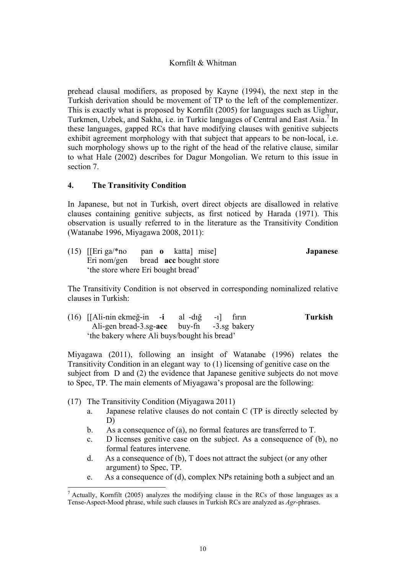prehead clausal modifiers, as proposed by Kayne (1994), the next step in the Turkish derivation should be movement of TP to the left of the complementizer. This is exactly what is proposed by Kornfilt (2005) for languages such as Uighur, Turkmen, Uzbek, and Sakha, i.e. in Turkic languages of Central and East Asia.<sup>7</sup> In these languages, gapped RCs that have modifying clauses with genitive subjects exhibit agreement morphology with that subject that appears to be non-local, i.e. such morphology shows up to the right of the head of the relative clause, similar to what Hale (2002) describes for Dagur Mongolian. We return to this issue in section 7.

# **4. The Transitivity Condition**

In Japanese, but not in Turkish, overt direct objects are disallowed in relative clauses containing genitive subjects, as first noticed by Harada (1971). This observation is usually referred to in the literature as the Transitivity Condition (Watanabe 1996, Miyagawa 2008, 2011):

| $(15)$ [[Eri ga/*no | pan o katta mise                     | <b>Japanese</b> |
|---------------------|--------------------------------------|-----------------|
|                     | Eri nom/gen bread $acc$ bought store |                 |
|                     | the store where Eri bought bread'    |                 |

The Transitivity Condition is not observed in corresponding nominalized relative clauses in Turkish:

(16) [[Ali-nin ekmeğ-in -**i** al -dığ -ı] fırın **Turkish** Ali-gen bread-3.sg-**acc** buy-fn -3.sg bakery 'the bakery where Ali buys/bought his bread'

Miyagawa (2011), following an insight of Watanabe (1996) relates the Transitivity Condition in an elegant way to (1) licensing of genitive case on the subject from D and (2) the evidence that Japanese genitive subjects do not move to Spec, TP. The main elements of Miyagawa's proposal are the following:

(17) The Transitivity Condition (Miyagawa 2011)

 

- a. Japanese relative clauses do not contain C (TP is directly selected by D)
- b. As a consequence of (a), no formal features are transferred to T.
- c. D licenses genitive case on the subject. As a consequence of (b), no formal features intervene.
- d. As a consequence of (b), T does not attract the subject (or any other argument) to Spec, TP.
- e. As a consequence of (d), complex NPs retaining both a subject and an

 $<sup>7</sup>$  Actually, Kornfilt (2005) analyzes the modifying clause in the RCs of those languages as a</sup> Tense-Aspect-Mood phrase, while such clauses in Turkish RCs are analyzed as *Agr*-phrases.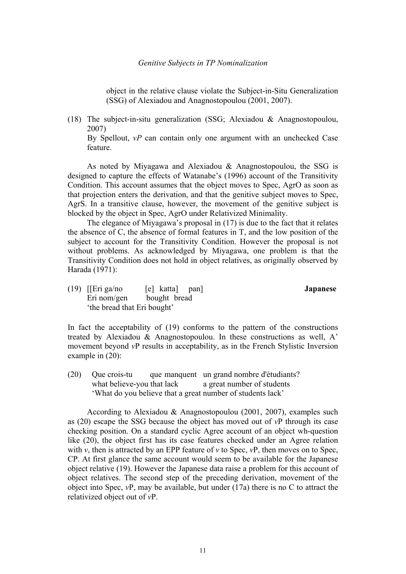## *Genitive Subjects in TP Nominalization*

object in the relative clause violate the Subject-in-Situ Generalization (SSG) of Alexiadou and Anagnostopoulou (2001, 2007).

(18) The subject-in-situ generalization (SSG; Alexiadou & Anagnostopoulou, 2007)

By Spellout, *vP* can contain only one argument with an unchecked Case feature.

As noted by Miyagawa and Alexiadou & Anagnostopoulou, the SSG is designed to capture the effects of Watanabe's (1996) account of the Transitivity Condition. This account assumes that the object moves to Spec, AgrO as soon as that projection enters the derivation, and that the genitive subject moves to Spec, AgrS. In a transitive clause, however, the movement of the genitive subject is blocked by the object in Spec, AgrO under Relativized Minimality.

The elegance of Miyagawa's proposal in (17) is due to the fact that it relates the absence of C, the absence of formal features in T, and the low position of the subject to account for the Transitivity Condition. However the proposal is not without problems. As acknowledged by Miyagawa, one problem is that the Transitivity Condition does not hold in object relatives, as originally observed by Harada (1971):

(19) [[Eri ga/no [e] katta] pan] **Japanese** Eri nom/gen bought bread 'the bread that Eri bought'

In fact the acceptability of (19) conforms to the pattern of the constructions treated by Alexiadou & Anagnostopoulou. In these constructions as well, A' movement beyond *v*P results in acceptability, as in the French Stylistic Inversion example in (20):

(20) Que crois-tu que manquent un grand nombre d'étudiants? what believe-you that lack a great number of students 'What do you believe that a great number of students lack'

According to Alexiadou & Anagnostopoulou (2001, 2007), examples such as (20) escape the SSG because the object has moved out of *v*P through its case checking position. On a standard cyclic Agree account of an object wh-question like (20), the object first has its case features checked under an Agree relation with *v*, then is attracted by an EPP feature of *v* to Spec, *v*P, then moves on to Spec, CP. At first glance the same account would seem to be available for the Japanese object relative (19). However the Japanese data raise a problem for this account of object relatives. The second step of the preceding derivation, movement of the object into Spec, *v*P, may be available, but under (17a) there is no C to attract the relativized object out of *v*P.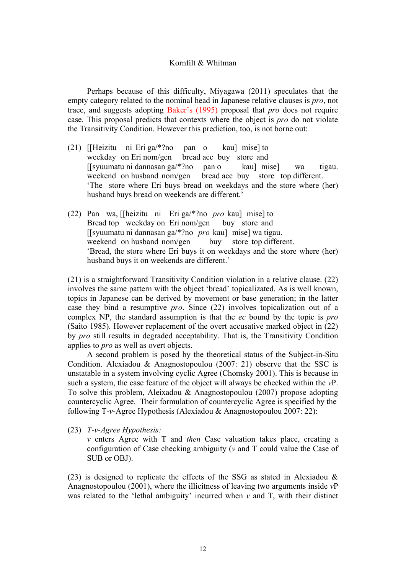Perhaps because of this difficulty, Miyagawa (2011) speculates that the empty category related to the nominal head in Japanese relative clauses is *pro*, not trace, and suggests adopting Baker's (1995) proposal that *pro* does not require case. This proposal predicts that contexts where the object is *pro* do not violate the Transitivity Condition. However this prediction, too, is not borne out:

- (21) [[Heizitu ni Eri ga/\*?no pan o kau] mise] to weekday on Eri nom/gen bread acc buy store and [[syuumatu ni dannasan ga/\*?no pan o kau] mise] wa tigau. weekend on husband nom/gen bread acc buy store top different. 'The store where Eri buys bread on weekdays and the store where (her) husband buys bread on weekends are different.'
- (22) Pan wa, [[heizitu ni Eri ga/\*?no *pro* kau] mise] to Bread top weekday on Eri nom/gen buy store and [[syuumatu ni dannasan ga/\*?no *pro* kau] mise] wa tigau. weekend on husband nom/gen buy store top different. 'Bread, the store where Eri buys it on weekdays and the store where (her) husband buys it on weekends are different.'

(21) is a straightforward Transitivity Condition violation in a relative clause. (22) involves the same pattern with the object 'bread' topicalizated. As is well known, topics in Japanese can be derived by movement or base generation; in the latter case they bind a resumptive *pro*. Since (22) involves topicalization out of a complex NP, the standard assumption is that the *ec* bound by the topic is *pro* (Saito 1985). However replacement of the overt accusative marked object in (22) by *pro* still results in degraded acceptability. That is, the Transitivity Condition applies to *pro* as well as overt objects.

A second problem is posed by the theoretical status of the Subject-in-Situ Condition. Alexiadou & Anagnostopoulou (2007: 21) observe that the SSC is unstatable in a system involving cyclic Agree (Chomsky 2001). This is because in such a system, the case feature of the object will always be checked within the *v*P. To solve this problem, Aleixadou & Anagnostopoulou (2007) propose adopting countercyclic Agree. Their formulation of countercyclic Agree is specified by the following T-*v*-Agree Hypothesis (Alexiadou & Anagnostopoulou 2007: 22):

(23) *T-v-Agree Hypothesis:*

*v* enters Agree with T and *then* Case valuation takes place, creating a configuration of Case checking ambiguity (*v* and T could value the Case of SUB or OBJ).

(23) is designed to replicate the effects of the SSG as stated in Alexiadou & Anagnostopoulou (2001), where the illicitness of leaving two arguments inside *v*P was related to the 'lethal ambiguity' incurred when *v* and T, with their distinct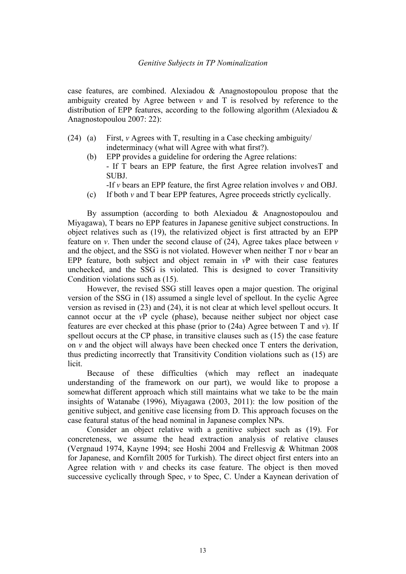## *Genitive Subjects in TP Nominalization*

case features, are combined. Alexiadou & Anagnostopoulou propose that the ambiguity created by Agree between  $\nu$  and T is resolved by reference to the distribution of EPP features, according to the following algorithm (Alexiadou  $\&$ Anagnostopoulou 2007: 22):

- (24) (a) First, *v* Agrees with T, resulting in a Case checking ambiguity/ indeterminacy (what will Agree with what first?).
	- (b) EPP provides a guideline for ordering the Agree relations: - If T bears an EPP feature, the first Agree relation involvesT and SUBJ.
		- -If *v* bears an EPP feature, the first Agree relation involves *v* and OBJ.
	- (c) If both *v* and T bear EPP features, Agree proceeds strictly cyclically.

By assumption (according to both Alexiadou & Anagnostopoulou and Miyagawa), T bears no EPP features in Japanese genitive subject constructions. In object relatives such as (19), the relativized object is first attracted by an EPP feature on  $v$ . Then under the second clause of  $(24)$ , Agree takes place between  $v$ and the object, and the SSG is not violated. However when neither T nor *v* bear an EPP feature, both subject and object remain in *v*P with their case features unchecked, and the SSG is violated. This is designed to cover Transitivity Condition violations such as (15).

However, the revised SSG still leaves open a major question. The original version of the SSG in (18) assumed a single level of spellout. In the cyclic Agree version as revised in (23) and (24), it is not clear at which level spellout occurs. It cannot occur at the *v*P cycle (phase), because neither subject nor object case features are ever checked at this phase (prior to (24a) Agree between T and *v*). If spellout occurs at the CP phase, in transitive clauses such as (15) the case feature on  $\nu$  and the object will always have been checked once  $T$  enters the derivation, thus predicting incorrectly that Transitivity Condition violations such as (15) are licit.

Because of these difficulties (which may reflect an inadequate understanding of the framework on our part), we would like to propose a somewhat different approach which still maintains what we take to be the main insights of Watanabe (1996), Miyagawa (2003, 2011): the low position of the genitive subject, and genitive case licensing from D. This approach focuses on the case featural status of the head nominal in Japanese complex NPs.

Consider an object relative with a genitive subject such as (19). For concreteness, we assume the head extraction analysis of relative clauses (Vergnaud 1974, Kayne 1994; see Hoshi 2004 and Frellesvig & Whitman 2008 for Japanese, and Kornfilt 2005 for Turkish). The direct object first enters into an Agree relation with *v* and checks its case feature. The object is then moved successive cyclically through Spec, *v* to Spec, C. Under a Kaynean derivation of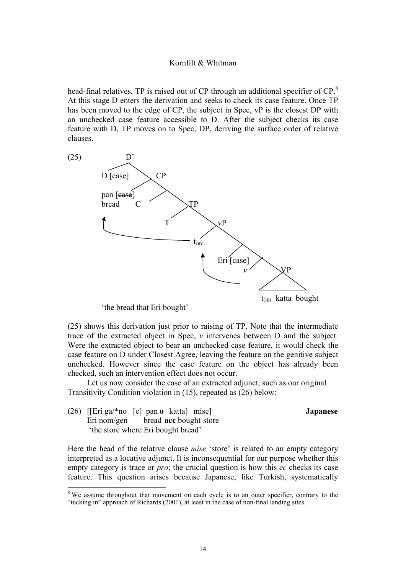head-final relatives, TP is raised out of CP through an additional specifier of CP.<sup>8</sup> At this stage D enters the derivation and seeks to check its case feature. Once TP has been moved to the edge of CP, the subject in Spec, vP is the closest DP with an unchecked case feature accessible to D. After the subject checks its case feature with D, TP moves on to Spec, DP, deriving the surface order of relative clauses.



'the bread that Eri bought'

(25) shows this derivation just prior to raising of TP. Note that the intermediate trace of the extracted object in Spec, *v* intervenes between D and the subject. Were the extracted object to bear an unchecked case feature, it would check the case feature on D under Closest Agree, leaving the feature on the genitive subject unchecked. However since the case feature on the object has already been checked, such an intervention effect does not occur.

Let us now consider the case of an extracted adjunct, such as our original Transitivity Condition violation in (15), repeated as (26) below:

(26) [[Eri ga/\*no [e] pan **o** katta] mise] **Japanese** Eri nom/gen bread **acc** bought store 'the store where Eri bought bread'

 

Here the head of the relative clause *mise* 'store' is related to an empty category interpreted as a locative adjunct. It is inconsequential for our purpose whether this empty category is trace or *pro*; the crucial question is how this *ec* checks its case feature. This question arises because Japanese, like Turkish, systematically

<sup>&</sup>lt;sup>8</sup> We assume throughout that movement on each cycle is to an outer specifier, contrary to the "tucking in" approach of Richards (2001), at least in the case of non-final landing sites.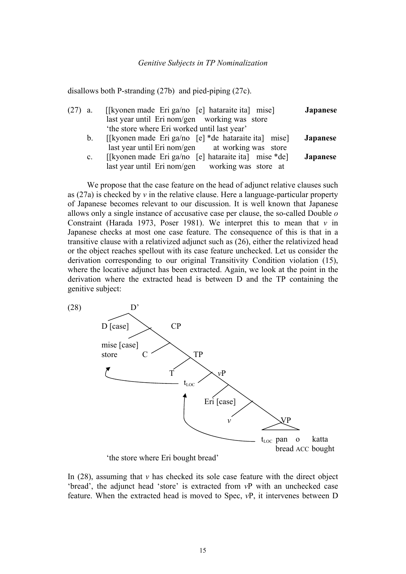disallows both P-stranding (27b) and pied-piping (27c).

| $(27)$ a. |                | [[kyonen made Eri ga/no [e] hataraite ita] mise]     | Japanese        |
|-----------|----------------|------------------------------------------------------|-----------------|
|           |                | last year until Eri nom/gen working was store        |                 |
|           |                | 'the store where Eri worked until last year'         |                 |
|           | $b_{\cdot}$    | [[kyonen made Eri ga/no [e] *de hataraite ita] mise] | <b>Japanese</b> |
|           |                | last year until Eri nom/gen at working was store     |                 |
|           | $\mathbf{c}$ . | [[kyonen made Eri ga/no [e] hataraite ita] mise *de] | Japanese        |
|           |                | last year until Eri nom/gen working was store at     |                 |

We propose that the case feature on the head of adjunct relative clauses such as (27a) is checked by *v* in the relative clause. Here a language-particular property of Japanese becomes relevant to our discussion. It is well known that Japanese allows only a single instance of accusative case per clause, the so-called Double *o* Constraint (Harada 1973, Poser 1981). We interpret this to mean that  $v$  in Japanese checks at most one case feature. The consequence of this is that in a transitive clause with a relativized adjunct such as (26), either the relativized head or the object reaches spellout with its case feature unchecked. Let us consider the derivation corresponding to our original Transitivity Condition violation (15), where the locative adjunct has been extracted. Again, we look at the point in the derivation where the extracted head is between D and the TP containing the genitive subject:



'the store where Eri bought bread'

In  $(28)$ , assuming that *v* has checked its sole case feature with the direct object 'bread', the adjunct head 'store' is extracted from *v*P with an unchecked case feature. When the extracted head is moved to Spec, *v*P, it intervenes between D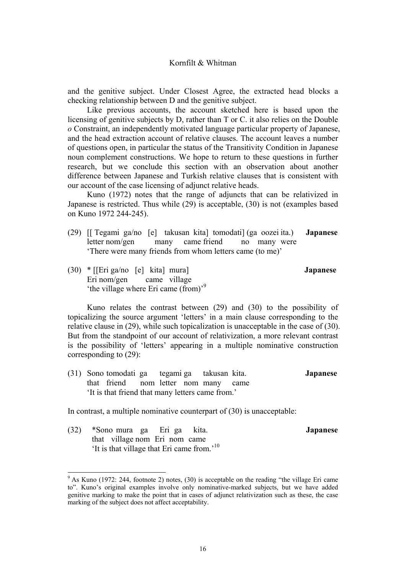and the genitive subject. Under Closest Agree, the extracted head blocks a checking relationship between D and the genitive subject.

Like previous accounts, the account sketched here is based upon the licensing of genitive subjects by D, rather than T or C. it also relies on the Double *o* Constraint, an independently motivated language particular property of Japanese, and the head extraction account of relative clauses. The account leaves a number of questions open, in particular the status of the Transitivity Condition in Japanese noun complement constructions. We hope to return to these questions in further research, but we conclude this section with an observation about another difference between Japanese and Turkish relative clauses that is consistent with our account of the case licensing of adjunct relative heads.

Kuno (1972) notes that the range of adjuncts that can be relativized in Japanese is restricted. Thus while (29) is acceptable, (30) is not (examples based on Kuno 1972 244-245).

- (29) [[ Tegami ga/no [e] takusan kita] tomodati] (ga oozei ita.) **Japanese** letter nom/gen many came friend no many were 'There were many friends from whom letters came (to me)'
	-
- (30) \* [[Eri ga/no [e] kita] mura] **Japanese** Eri nom/gen came village 'the village where Eri came (from)'<sup>9</sup>

Kuno relates the contrast between (29) and (30) to the possibility of topicalizing the source argument 'letters' in a main clause corresponding to the relative clause in (29), while such topicalization is unacceptable in the case of (30). But from the standpoint of our account of relativization, a more relevant contrast is the possibility of 'letters' appearing in a multiple nominative construction corresponding to (29):

(31) Sono tomodati ga tegami ga takusan kita. **Japanese** that friend nom letter nom many came 'It is that friend that many letters came from.'

In contrast, a multiple nominative counterpart of (30) is unacceptable:

(32) \*Sono mura ga Eri ga kita. **Japanese** that village nom Eri nom came 'It is that village that Eri came from.'10

<sup>&</sup>lt;sup>9</sup> As Kuno (1972: 244, footnote 2) notes, (30) is acceptable on the reading "the village Eri came" to". Kuno's original examples involve only nominative-marked subjects, but we have added genitive marking to make the point that in cases of adjunct relativization such as these, the case marking of the subject does not affect acceptability.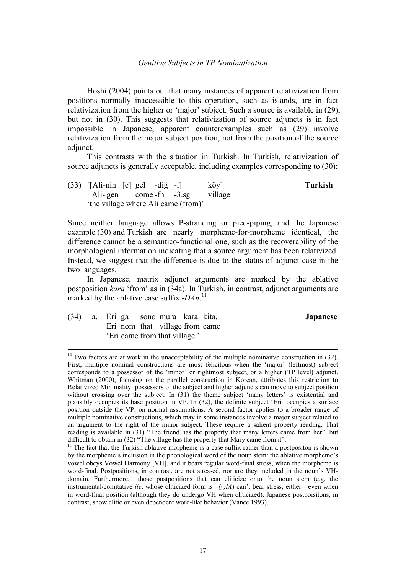#### *Genitive Subjects in TP Nominalization*

Hoshi (2004) points out that many instances of apparent relativization from positions normally inaccessible to this operation, such as islands, are in fact relativization from the higher or 'major' subject. Such a source is available in (29), but not in (30). This suggests that relativization of source adjuncts is in fact impossible in Japanese; apparent counterexamples such as (29) involve relativization from the major subject position, not from the position of the source adjunct.

This contrasts with the situation in Turkish. In Turkish, relativization of source adjuncts is generally acceptable, including examples corresponding to (30):

(33) [[Ali-nin [e] gel -diğ -i] köy] **Turkish** Ali- gen come -fn -3.sg village 'the village where Ali came (from)'

Since neither language allows P-stranding or pied-piping, and the Japanese example (30) and Turkish are nearly morpheme-for-morpheme identical, the difference cannot be a semantico-functional one, such as the recoverability of the morphological information indicating that a source argument has been relativized. Instead, we suggest that the difference is due to the status of adjunct case in the two languages.

In Japanese, matrix adjunct arguments are marked by the ablative postposition *kara* 'from' as in (34a). In Turkish, in contrast, adjunct arguments are marked by the ablative case suffix *-DAn*. 11

- 
- (34) a. Eri ga sono mura kara kita. **Japanese** Eri nom that village from came 'Eri came from that village.'

 $10$  Two factors are at work in the unacceptability of the multiple nominaitve construction in (32). First, multiple nominal constructions are most felicitous when the 'major' (leftmost) subject corresponds to a possessor of the 'minor' or rightmost subject, or a higher (TP level) adjunct. Whitman (2000), focusing on the parallel construction in Korean, attributes this restriction to Relativized Minimality: possessors of the subject and higher adjuncts can move to subject position without crossing over the subject. In (31) the theme subject 'many letters' is existential and plausibly occupies its base position in VP. In (32), the definite subject 'Eri' occupies a surface position outside the VP, on normal assumptions. A second factor applies to a broader range of multiple nominative constructions, which may in some instances involve a major subject related to an argument to the right of the minor subject. These require a salient property reading. That reading is available in (31) "The friend has the property that many letters came from her", but difficult to obtain in (32) "The village has the property that Mary came from it".

<sup>&</sup>lt;sup>11</sup> The fact that the Turkish ablative morpheme is a case suffix rather than a postpositon is shown by the morpheme's inclusion in the phonological word of the noun stem: the ablative morpheme's vowel obeys Vowel Harmony [VH], and it bears regular word-final stress, when the morpheme is word-final. Postpositions, in contrast, are not stressed, nor are they included in the noun's VHdomain. Furthermore, those postpositions that can cliticize onto the noun stem (e.g. the instrumental/comitative *ile*, whose cliticized form is  $-(y)lA$ ) can't bear stress, either—even when in word-final position (although they do undergo VH when cliticized). Japanese postpoisitons, in contrast, show clitic or even dependent word-like behavior (Vance 1993).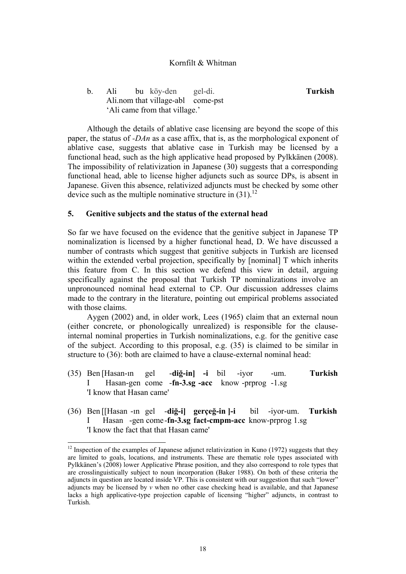# b. Ali bu köy-den gel-di. **Turkish** Ali.nom that village-abl come-pst 'Ali came from that village.'

Although the details of ablative case licensing are beyond the scope of this paper, the status of *-DAn* as a case affix, that is, as the morphological exponent of ablative case, suggests that ablative case in Turkish may be licensed by a functional head, such as the high applicative head proposed by Pylkkänen (2008). The impossibility of relativization in Japanese (30) suggests that a corresponding functional head, able to license higher adjuncts such as source DPs, is absent in Japanese. Given this absence, relativized adjuncts must be checked by some other device such as the multiple nominative structure in  $(31)$ .<sup>12</sup>

## **5. Genitive subjects and the status of the external head**

So far we have focused on the evidence that the genitive subject in Japanese TP nominalization is licensed by a higher functional head, D. We have discussed a number of contrasts which suggest that genitive subjects in Turkish are licensed within the extended verbal projection, specifically by [nominal] T which inherits this feature from C. In this section we defend this view in detail, arguing specifically against the proposal that Turkish TP nominalizations involve an unpronounced nominal head external to CP. Our discussion addresses claims made to the contrary in the literature, pointing out empirical problems associated with those claims.

 Aygen (2002) and, in older work, Lees (1965) claim that an external noun (either concrete, or phonologically unrealized) is responsible for the clauseinternal nominal properties in Turkish nominalizations, e.g. for the genitive case of the subject. According to this proposal, e.g. (35) is claimed to be similar in structure to (36): both are claimed to have a clause-external nominal head:

- (35) Ben [Hasan-ın gel -**diğ-in] -i** bil -iyor -um. **Turkish** I Hasan-gen come -**fn-3.sg -acc** know -prprog -1.sg 'I know that Hasan came'
- (36) Ben [[Hasan -ın gel -**diğ-i] gerçeğ-in ]-i** bil -iyor-um. **Turkish** I Hasan -gen come -**fn-3.sg fact-cmpm-acc** know-prprog 1.sg 'I know the fact that that Hasan came'

 

 $12$  Inspection of the examples of Japanese adjunct relativization in Kuno (1972) suggests that they are limited to goals, locations, and instruments. These are thematic role types associated with Pylkkänen's (2008) lower Applicative Phrase position, and they also correspond to role types that are crosslinguistically subject to noun incorporation (Baker 1988). On both of these criteria the adjuncts in question are located inside VP. This is consistent with our suggestion that such "lower" adjuncts may be licensed by *v* when no other case checking head is available, and that Japanese lacks a high applicative-type projection capable of licensing "higher" adjuncts, in contrast to Turkish.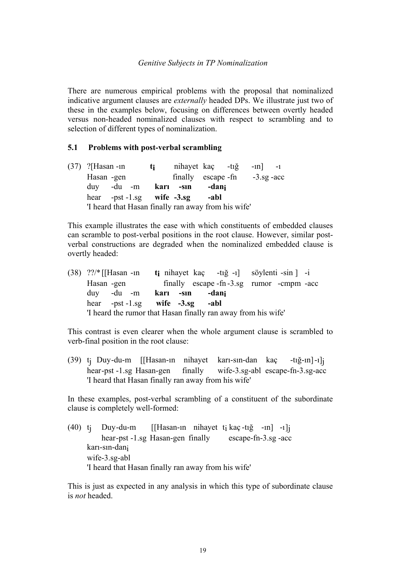## *Genitive Subjects in TP Nominalization*

There are numerous empirical problems with the proposal that nominalized indicative argument clauses are *externally* headed DPs. We illustrate just two of these in the examples below, focusing on differences between overtly headed versus non-headed nominalized clauses with respect to scrambling and to selection of different types of nominalization.

## **5.1 Problems with post-verbal scrambling**

| $(37)$ ?[Hasan -1n]  |  | ti | nihayet kaç $-ti\check{g}$ -in -1                   |       |  |  |
|----------------------|--|----|-----------------------------------------------------|-------|--|--|
| Hasan -gen           |  |    | finally escape -fn $-3.\text{sg}$ -acc              |       |  |  |
| duy -du -m karı -sın |  |    |                                                     | -dani |  |  |
|                      |  |    | hear -pst -1.sg wife $-3.\text{sg}$                 | -abl  |  |  |
|                      |  |    | 'I heard that Hasan finally ran away from his wife' |       |  |  |

This example illustrates the ease with which constituents of embedded clauses can scramble to post-verbal positions in the root clause. However, similar postverbal constructions are degraded when the nominalized embedded clause is overtly headed:

| $(38)$ ??/* [[Hasan -in] |  |           |                                    | $t_i$ nihayet kaç $-t_i \xi -1$ söylenti -sin $]$ -i          |  |  |
|--------------------------|--|-----------|------------------------------------|---------------------------------------------------------------|--|--|
| Hasan -gen               |  |           |                                    | finally escape -fn -3.sg rumor -cmpm -acc                     |  |  |
| $\frac{duv}{du}$ -du -m  |  | karı -sın | -dani                              |                                                               |  |  |
|                          |  |           | hear $-pst-1.sg$ wife $-3.sg$ -abl |                                                               |  |  |
|                          |  |           |                                    | 'I heard the rumor that Hasan finally ran away from his wife' |  |  |

This contrast is even clearer when the whole argument clause is scrambled to verb-final position in the root clause:

(39) tj Duy -du-m [[Hasan-ın nihayet karı-sın-dan kaç -tığ-ın] -ı]j wife-3.sg-abl escape-fn-3.sg-acc 'I heard that Hasan finally ran away from his wife'

In these examples, post-verbal scrambling of a constituent of the subordinate clause is completely well-formed:

(40)  $t_i$  Duy-du-m [[Hasan-in nihayet  $t_i$  kaç-tığ -in] -i ]j hear -pst -1.sg Hasan-gen finally escape-fn-3.sg -acc karı-sın-dani wife-3.sg-abl 'I heard that Hasan finally ran away from his wife'

This is just as expected in any analysis in which this type of subordinate clause is *not* headed.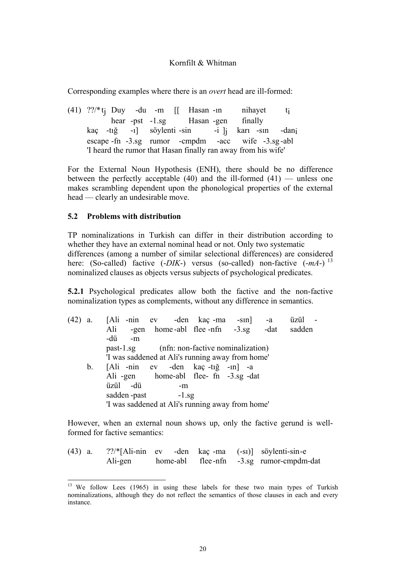Corresponding examples where there is an *overt* head are ill-formed:

(41)  $?$ ?/\*t<sub>i</sub> Duy -du -m  $\begin{bmatrix} \end{bmatrix}$  Hasan -in nihayet t<sub>i</sub> hear -pst -1.sg Hasan -gen finally kaç -tığ -ı] söylenti -sin -i ]j karı -sın -dani escape -fn -3.sg rumor -cmpdm -acc wife -3.sg -abl 'I heard the rumor that Hasan finally ran away from his wife'

For the External Noun Hypothesis (ENH), there should be no difference between the perfectly acceptable  $(40)$  and the ill-formed  $(41)$  — unless one makes scrambling dependent upon the phonological properties of the external head — clearly an undesirable move.

## **5.2 Problems with distribution**

TP nominalizations in Turkish can differ in their distribution according to whether they have an external nominal head or not. Only two systematic differences (among a number of similar selectional differences) are considered here: (So-called) factive (-*DIK*-) versus (so-called) non-factive (-mA-)<sup>13</sup> nominalized clauses as objects versus subjects of psychological predicates.

**5.2.1** Psychological predicates allow both the factive and the non-factive nominalization types as complements, without any difference in semantics.

| (42) | a. |                                                  |                   |  |    | [Ali -nin ev -den kaç -ma -sın] -a               |  |  | üzül - |  |
|------|----|--------------------------------------------------|-------------------|--|----|--------------------------------------------------|--|--|--------|--|
|      |    | Ali                                              |                   |  |    | -gen home-abl flee-nfn -3.sg -dat                |  |  | sadden |  |
|      |    | -dü                                              | $-m$              |  |    |                                                  |  |  |        |  |
|      |    |                                                  |                   |  |    | past-1.sg (nfn: non-factive nominalization)      |  |  |        |  |
|      |    |                                                  |                   |  |    | 'I was saddened at Ali's running away from home' |  |  |        |  |
|      | b. |                                                  |                   |  |    | [Ali -nin ev -den kaç -tığ -in] -a               |  |  |        |  |
|      |    |                                                  |                   |  |    | Ali -gen home-abl flee- fn -3.sg -dat            |  |  |        |  |
|      |    |                                                  | üzül -dü          |  | -m |                                                  |  |  |        |  |
|      |    |                                                  | sadden-past -1.sg |  |    |                                                  |  |  |        |  |
|      |    | 'I was saddened at Ali's running away from home' |                   |  |    |                                                  |  |  |        |  |

However, when an external noun shows up, only the factive gerund is wellformed for factive semantics:

| $(43)$ a. |         |  |  | $?$ ?/*[Ali-nin ev -den kaç-ma $(-s)$ ] söylenti-sin-e |
|-----------|---------|--|--|--------------------------------------------------------|
|           | Ali-gen |  |  | home-abl flee-nfn -3.sg rumor-cmpdm-dat                |

 <sup>13</sup> We follow Lees (1965) in using these labels for these two main types of Turkish nominalizations, although they do not reflect the semantics of those clauses in each and every instance.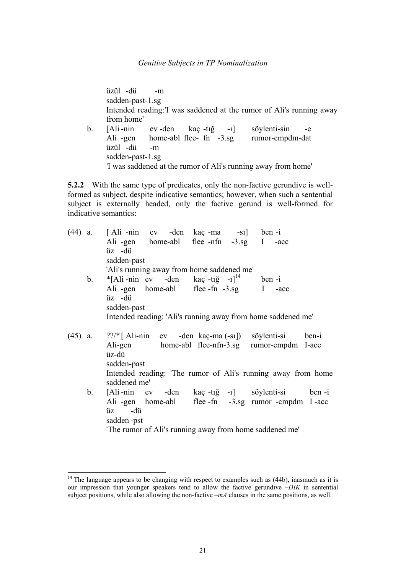üzül -dü -m sadden-past-1.sg Intended reading:'I was saddened at the rumor of Ali's running away from home' b. [Ali -nin ev -den kaç -tığ -ı] söylenti-sin -e Ali -gen home-abl flee- fn -3.sg rumor-cmpdm-dat üzül -dü -m sadden-past-1.sg 'I was saddened at the rumor of Ali's running away from home'

**5.2.2** With the same type of predicates, only the non-factive gerundive is wellformed as subject, despite indicative semantics; however, when such a sentential subject is externally headed, only the factive gerund is well-formed for indicative semantics:

|  |                | (44) a. [Ali-nin ev -den kaç-ma -sı] ben-i                      |
|--|----------------|-----------------------------------------------------------------|
|  |                | Ali-gen home-abl flee-nfn -3.sg I -acc                          |
|  |                | üz -dü                                                          |
|  |                | sadden-past                                                     |
|  |                | 'Ali's running away from home saddened me'                      |
|  | $\mathbf{b}$ . | $*$ [Ali-nin ev -den kaç-tığ -1 <sup>]<sup>14</sup> ben-i</sup> |
|  |                | Ali -gen home-abl flee -fn -3.sg I -acc                         |
|  |                | üz -dü                                                          |
|  |                | sadden-past                                                     |
|  |                | Intended reading: 'Ali's running away from home saddened me'    |
|  |                |                                                                 |
|  | $(45)$ a.      | ??/* [Ali-nin ev -den kaç-ma (-sı]) söylenti-si ben-i           |
|  |                | Ali-gen home-abl flee-nfn-3.sg rumor-cmpdm I-acc                |
|  |                | üz-dü                                                           |
|  |                | sadden-past                                                     |
|  |                | Intended reading: 'The rumor of Ali's running away from home    |
|  |                | saddened me'                                                    |
|  | $\mathbf{b}$ . | [Ali-nin ev -den kaç-tığ -1] söylenti-si ben-i                  |
|  |                | Ali -gen home-abl flee -fn -3.sg rumor -cmpdm I -acc            |
|  |                | üz -dü                                                          |
|  |                | sadden-pst                                                      |
|  |                | 'The rumor of Ali's running away from home saddened me'         |
|  |                |                                                                 |

 

 $14$  The language appears to be changing with respect to examples such as  $(44b)$ , inasmuch as it is our impression that younger speakers tend to allow the factive gerundive –*DIK* in sentential subject positions, while also allowing the non-factive –*mA* clauses in the same positions, as well.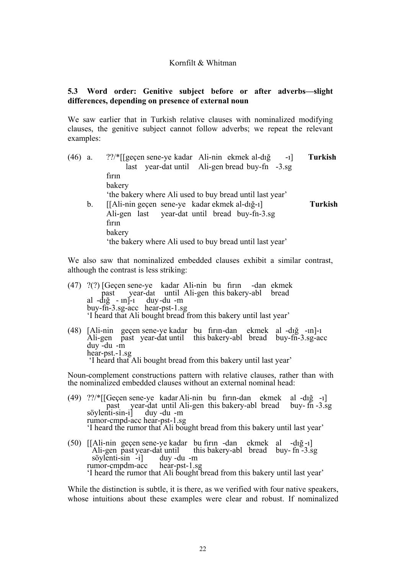# **5.3 Word order: Genitive subject before or after adverbs—slight differences, depending on presence of external noun**

We saw earlier that in Turkish relative clauses with nominalized modifying clauses, the genitive subject cannot follow adverbs; we repeat the relevant examples:

| (46) | a.             | ??/*[[geçen sene-ye kadar Ali-nin ekmek al-dığ<br>$-1$   | Turkish        |
|------|----------------|----------------------------------------------------------|----------------|
|      |                | last year-dat until Ali-gen bread buy-fn -3.sg           |                |
|      |                | firin                                                    |                |
|      |                | bakery                                                   |                |
|      |                | 'the bakery where Ali used to buy bread until last year' |                |
|      | $\mathbf{b}$ . | [[Ali-nin geçen sene-ye kadar ekmek al-dığ-ı]            | <b>Turkish</b> |
|      |                | Ali-gen last year-dat until bread buy-fn-3.sg            |                |
|      |                | firin                                                    |                |
|      |                | bakery                                                   |                |
|      |                | the bakery where Ali used to buy bread until last year'  |                |

We also saw that nominalized embedded clauses exhibit a similar contrast, although the contrast is less striking:

- (47) ?(?) [Geçen sene-ye kadar Ali-nin bu fırın -dan ekmek in in the past year-dat until Ali-gen this bakery-abl bread al  $-d_1\xi$  -  $n\bar{l}$ -1 duy-du -m buy-fn-3.sg-acc hear-pst-1.sg 'I heard that Ali bought bread from this bakery until last year'
- (48) [Ali-nin geçen sene-ye kadar bu fırın -dan ekmek al -dığ -ın]-ı Ali-gen past year-dat until this bakery-abl bread buy-fn-3.sg-acc duy -du -m hear-pst.-1.sg 'I heard that Ali bought bread from this bakery until last year'

Noun-complement constructions pattern with relative clauses, rather than with the nominalized embedded clauses without an external nominal head:

- (49) ??/\*[[Geçen sene-ye kadar Ali-nin bu fırın-dan ekmek al -dığ -ı] past year-dat until Ali-gen this bakery-abl bread buy- fn -3.sg söylenti-sin-i] duy -du -m rumor-cmpd-acc hear-pst-1.sg 'I heard the rumor that Ali bought bread from this bakery until last year'
- (50) [[Ali-nin geçen sene-ye kadar bu fırın -dan ekmek al -dığ -ı] Ali-gen past year-dat until this bakery-abl bread buy- fn -3.sg söylenti-sin -i] duy -du -m söylenti-sin -i] duy -du -m<br>rumor-cmpdm-acc hear-pst-1.sg 'I heard the rumor that Ali bought bread from this bakery until last year'

While the distinction is subtle, it is there, as we verified with four native speakers, whose intuitions about these examples were clear and robust. If nominalized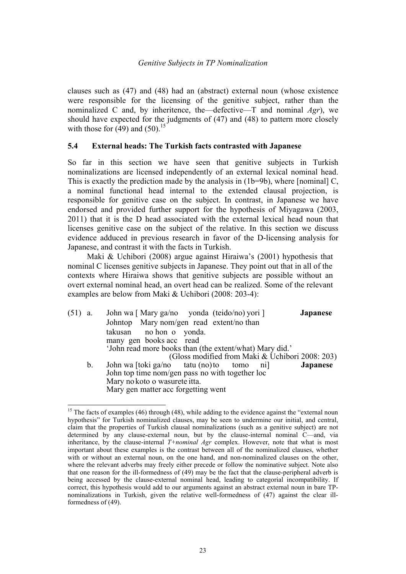clauses such as (47) and (48) had an (abstract) external noun (whose existence were responsible for the licensing of the genitive subject, rather than the nominalized C and, by inheritence, the—defective—T and nominal *Agr*), we should have expected for the judgments of (47) and (48) to pattern more closely with those for  $(49)$  and  $(50)$ .<sup>15</sup>

# **5.4 External heads: The Turkish facts contrasted with Japanese**

So far in this section we have seen that genitive subjects in Turkish nominalizations are licensed independently of an external lexical nominal head. This is exactly the prediction made by the analysis in (1b=9b), where [nominal] C, a nominal functional head internal to the extended clausal projection, is responsible for genitive case on the subject. In contrast, in Japanese we have endorsed and provided further support for the hypothesis of Miyagawa (2003, 2011) that it is the D head associated with the external lexical head noun that licenses genitive case on the subject of the relative. In this section we discuss evidence adduced in previous research in favor of the D-licensing analysis for Japanese, and contrast it with the facts in Turkish.

Maki & Uchibori (2008) argue against Hiraiwa's (2001) hypothesis that nominal C licenses genitive subjects in Japanese. They point out that in all of the contexts where Hiraiwa shows that genitive subjects are possible without an overt external nominal head, an overt head can be realized. Some of the relevant examples are below from Maki & Uchibori (2008: 203-4):

| $(51)$ a. |         | John wa [Mary ga/no yonda (teido/no) yori ]             | <b>Japanese</b> |
|-----------|---------|---------------------------------------------------------|-----------------|
|           |         | Johntop Mary nom/gen read extent/no than                |                 |
|           |         | takusan no hon o yonda.                                 |                 |
|           |         | many gen books acc read                                 |                 |
|           |         | 'John read more books than (the extent/what) Mary did.' |                 |
|           |         | (Gloss modified from Maki & Uchibori 2008: 203)         |                 |
|           | $b_{-}$ | John wa [toki ga/no tatu (no) to tomo ni]               | <b>Japanese</b> |
|           |         | John top time nom/gen pass no with together loc         |                 |
|           |         | Mary no koto o wasurete itta.                           |                 |
|           |         | Mary gen matter acc forgetting went                     |                 |

<sup>&</sup>lt;sup>15</sup> The facts of examples (46) through (48), while adding to the evidence against the "external noun hypothesis" for Turkish nominalized clauses, may be seen to undermine our initial, and central, claim that the properties of Turkish clausal nominalizations (such as a genitive subject) are not determined by any clause-external noun, but by the clause-internal nominal C—and, via inheritance, by the clause-internal *T+nominal Agr* complex. However, note that what is most important about these examples is the contrast between all of the nominalized clauses, whether with or without an external noun, on the one hand, and non-nominalized clauses on the other, where the relevant adverbs may freely either precede or follow the nominative subject. Note also that one reason for the ill-formedness of (49) may be the fact that the clause-peripheral adverb is being accessed by the clause-external nominal head, leading to categorial incompatibility. If correct, this hypothesis would add to our arguments against an abstract external noun in bare TPnominalizations in Turkish, given the relative well-formedness of (47) against the clear illformedness of (49).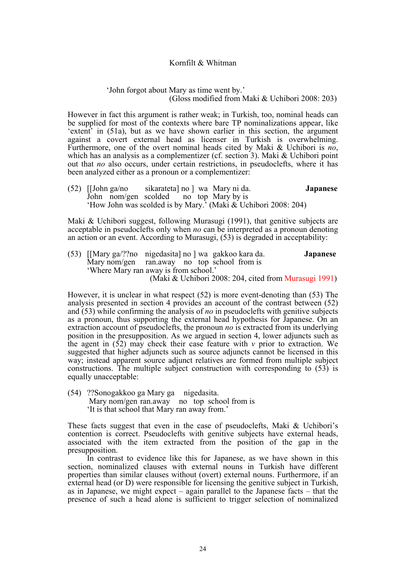#### 'John forgot about Mary as time went by.' (Gloss modified from Maki & Uchibori 2008: 203)

However in fact this argument is rather weak; in Turkish, too, nominal heads can be supplied for most of the contexts where bare TP nominalizations appear, like 'extent' in (51a), but as we have shown earlier in this section, the argument against a covert external head as licenser in Turkish is overwhelming. Furthermore, one of the overt nominal heads cited by Maki & Uchibori is *no*, which has an analysis as a complementizer (cf. section 3). Maki & Uchibori point out that *no* also occurs, under certain restrictions, in pseudoclefts, where it has been analyzed either as a pronoun or a complementizer:

(52) [[John ga/no sikarateta] no ] wa Mary ni da. **Japanese** John nom/gen scolded no top Mary by is 'How John was scolded is by Mary.' (Maki & Uchibori 2008: 204)

Maki & Uchibori suggest, following Murasugi (1991), that genitive subjects are acceptable in pseudoclefts only when *no* can be interpreted as a pronoun denoting an action or an event. According to Murasugi, (53) is degraded in acceptability:

(53) [[Mary ga/??no nigedasita] no ] wa gakkoo kara da. **Japanese** Mary nom/gen ran.away no top school from is 'Where Mary ran away is from school.' (Maki & Uchibori 2008: 204, cited from Murasugi 1991)

However, it is unclear in what respect (52) is more event-denoting than (53) The analysis presented in section 4 provides an account of the contrast between (52) and (53) while confirming the analysis of *no* in pseudoclefts with genitive subjects as a pronoun, thus supporting the external head hypothesis for Japanese. On an extraction account of pseudoclefts, the pronoun *no* is extracted from its underlying position in the presupposition. As we argued in section 4, lower adjuncts such as the agent in  $(52)$  may check their case feature with  $\nu$  prior to extraction. We suggested that higher adjuncts such as source adjuncts cannot be licensed in this way; instead apparent source adjunct relatives are formed from multiple subject constructions. The multiple subject construction with corresponding to (53) is equally unacceptable:

(54) ??Sono gakkoo ga Mary ga nigedasita. Mary nom/gen ran.away no top school from is 'It is that school that Mary ran away from.'

These facts suggest that even in the case of pseudoclefts, Maki & Uchibori's contention is correct. Pseudoclefts with genitive subjects have external heads, associated with the item extracted from the position of the gap in the presupposition.

In contrast to evidence like this for Japanese, as we have shown in this section, nominalized clauses with external nouns in Turkish have different properties than similar clauses without (overt) external nouns. Furthermore, if an external head (or D) were responsible for licensing the genitive subject in Turkish, as in Japanese, we might expect – again parallel to the Japanese facts – that the presence of such a head alone is sufficient to trigger selection of nominalized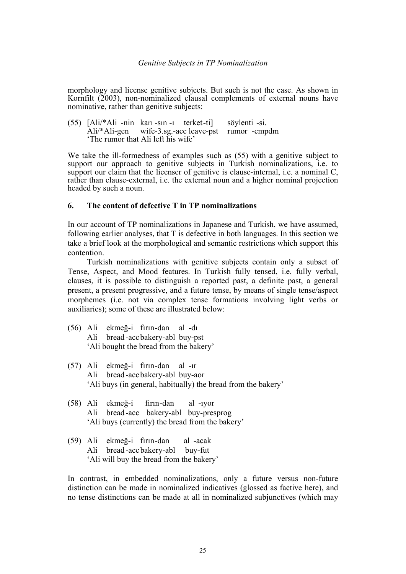morphology and license genitive subjects. But such is not the case. As shown in Kornfilt (2003), non-nominalized clausal complements of external nouns have nominative, rather than genitive subjects:

(55) [Ali/\*Ali -nin karı -sın -ı terket -ti] söylenti -si.  $\text{Ali}/\text{*}$ Ali-gen wife-3.sg.-acc leave-pst 'The rumor that Ali left his wife'

We take the ill-formedness of examples such as (55) with a genitive subject to support our approach to genitive subjects in Turkish nominalizations, i.e. to support our claim that the licenser of genitive is clause-internal, i.e. a nominal C, rather than clause-external, i.e. the external noun and a higher nominal projection headed by such a noun.

# **6. The content of defective T in TP nominalizations**

In our account of TP nominalizations in Japanese and Turkish, we have assumed, following earlier analyses, that T is defective in both languages. In this section we take a brief look at the morphological and semantic restrictions which support this contention.

Turkish nominalizations with genitive subjects contain only a subset of Tense, Aspect, and Mood features. In Turkish fully tensed, i.e. fully verbal, clauses, it is possible to distinguish a reported past, a definite past, a general present, a present progressive, and a future tense, by means of single tense/aspect morphemes (i.e. not via complex tense formations involving light verbs or auxiliaries); some of these are illustrated below:

- (56) Ali ekmeğ-i fırın -dan al -dı Ali bread -acc bakery-abl buy-pst 'Ali bought the bread from the bakery'
- (57) Ali ekmeğ-i fırın -dan al -ır Ali bread -acc bakery-abl buy-aor 'Ali buys (in general, habitually) the bread from the bakery'
- (58) Ali ekmeğ-i fırın -dan al -ıyor Ali bread -acc bakery-abl buy-presprog 'Ali buys (currently) the bread from the bakery'
- (59) Ali ekmeğ-i fırın -dan al -acak Ali bread -acc bakery-abl buy-fut 'Ali will buy the bread from the bakery'

In contrast, in embedded nominalizations, only a future versus non-future distinction can be made in nominalized indicatives (glossed as factive here), and no tense distinctions can be made at all in nominalized subjunctives (which may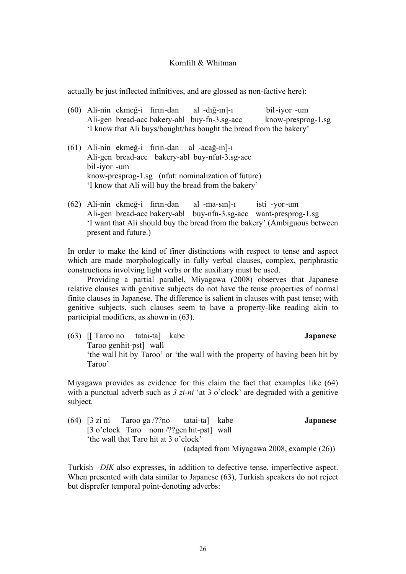actually be just inflected infinitives, and are glossed as non-factive here):

- (60) Ali-nin ekmeğ-i fırın -dan al -dığ-ın]-ı bil -iyor -um Ali-gen bread-acc bakery-abl buy-fn-3.sg-acc know-presprog-1.sg 'I know that Ali buys/bought/has bought the bread from the bakery'
- (61) Ali-nin ekmeğ-i fırın -dan al -acağ-ın]-ı Ali-gen bread-acc bakery-abl buy-nfut-3.sg-acc bil -iyor -um know-presprog-1.sg (nfut: nominalization of future) 'I know that Ali will buy the bread from the bakery'
- (62) Ali-nin ekmeğ-i fırın -dan al -ma-sın]-ı isti -yor -um Ali-gen bread-acc bakery-abl buy-nfn-3.sg-acc want-presprog-1.sg 'I want that Ali should buy the bread from the bakery' (Ambiguous between present and future.)

In order to make the kind of finer distinctions with respect to tense and aspect which are made morphologically in fully verbal clauses, complex, periphrastic constructions involving light verbs or the auxiliary must be used.

Providing a partial parallel, Miyagawa (2008) observes that Japanese relative clauses with genitive subjects do not have the tense properties of normal finite clauses in Japanese. The difference is salient in clauses with past tense; with genitive subjects, such clauses seem to have a property-like reading akin to participial modifiers, as shown in (63).

(63) [[ Taroo no tatai-ta] kabe **Japanese** Taroo gen hit-pst] wall 'the wall hit by Taroo' or 'the wall with the property of having been hit by Taroo'

Miyagawa provides as evidence for this claim the fact that examples like (64) with a punctual adverb such as  $3 z_i - ni$  at 3 o'clock' are degraded with a genitive subject.

(64) [3 zi ni Taroo ga /??no tatai-ta] kabe **Japanese** [3 o'clock Taro nom /??gen hit-pst] wall 'the wall that Taro hit at 3 o'clock' (adapted from Miyagawa 2008, example (26))

Turkish –*DIK* also expresses, in addition to defective tense, imperfective aspect. When presented with data similar to Japanese (63), Turkish speakers do not reject but disprefer temporal point-denoting adverbs: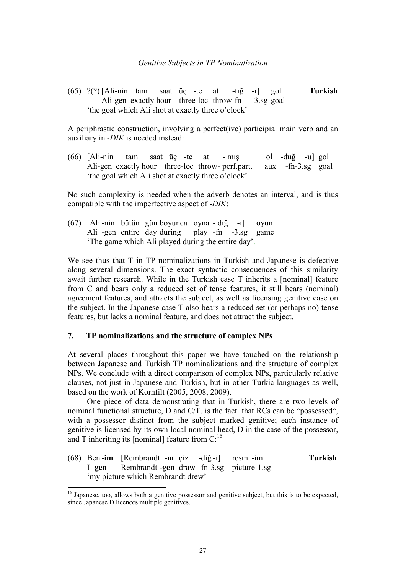(65) ?(?) [Ali-nin tam saat üç -te at -tığ -ı] gol **Turkish** Ali-gen exactly hour three-loc throw-fn -3.sg goal 'the goal which Ali shot at exactly three o'clock'

A periphrastic construction, involving a perfect(ive) participial main verb and an auxiliary in -*DIK* is needed instead:

(66) [Ali-nin tam saat üç -te at - mış ol -duğ -u] gol Ali-gen exactly hour three-loc throw-perf.part. aux -fn-3.sg goal 'the goal which Ali shot at exactly three o'clock'

No such complexity is needed when the adverb denotes an interval, and is thus compatible with the imperfective aspect of -*DIK*:

(67) [Ali -nin bütün gün boyunca oyna - dığ -ı] oyun Ali -gen entire day during play -fn -3.sg game 'The game which Ali played during the entire day'.

We see thus that T in TP nominalizations in Turkish and Japanese is defective along several dimensions. The exact syntactic consequences of this similarity await further research. While in the Turkish case T inherits a [nominal] feature from C and bears only a reduced set of tense features, it still bears (nominal) agreement features, and attracts the subject, as well as licensing genitive case on the subject. In the Japanese case T also bears a reduced set (or perhaps no) tense features, but lacks a nominal feature, and does not attract the subject.

## **7. TP nominalizations and the structure of complex NPs**

 

At several places throughout this paper we have touched on the relationship between Japanese and Turkish TP nominalizations and the structure of complex NPs. We conclude with a direct comparison of complex NPs, particularly relative clauses, not just in Japanese and Turkish, but in other Turkic languages as well, based on the work of Kornfilt (2005, 2008, 2009).

 One piece of data demonstrating that in Turkish, there are two levels of nominal functional structure, D and C/T, is the fact that RCs can be "possessed", with a possessor distinct from the subject marked genitive; each instance of genitive is licensed by its own local nominal head, D in the case of the possessor, and T inheriting its [nominal] feature from  $C$ :<sup>16</sup>

(68) Ben -**im** [Rembrandt -**ın** çiz -diğ -i] resm -im **Turkish** I -**gen** Rembrandt **-gen** draw -fn-3.sg picture-1.sg 'my picture which Rembrandt drew'

<sup>&</sup>lt;sup>16</sup> Japanese, too, allows both a genitive possessor and genitive subject, but this is to be expected, since Japanese D licences multiple genitives.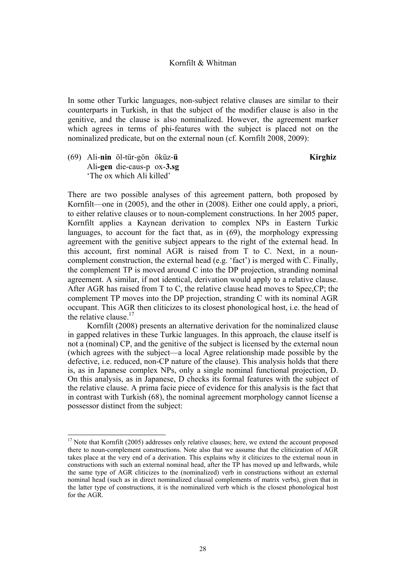In some other Turkic languages, non-subject relative clauses are similar to their counterparts in Turkish, in that the subject of the modifier clause is also in the genitive, and the clause is also nominalized. However, the agreement marker which agrees in terms of phi-features with the subject is placed not on the nominalized predicate, but on the external noun (cf. Kornfilt 2008, 2009):

(69) Ali-**nin** öl-tür-gön öküz-**ü Kirghiz** Ali**-gen** die-caus-p ox-**3.sg**  'The ox which Ali killed'

 

There are two possible analyses of this agreement pattern, both proposed by Kornfilt—one in (2005), and the other in (2008). Either one could apply, a priori, to either relative clauses or to noun-complement constructions. In her 2005 paper, Kornfilt applies a Kaynean derivation to complex NPs in Eastern Turkic languages, to account for the fact that, as in (69), the morphology expressing agreement with the genitive subject appears to the right of the external head. In this account, first nominal AGR is raised from T to C. Next, in a nouncomplement construction, the external head (e.g. 'fact') is merged with C. Finally, the complement TP is moved around C into the DP projection, stranding nominal agreement. A similar, if not identical, derivation would apply to a relative clause. After AGR has raised from T to C, the relative clause head moves to Spec,CP; the complement TP moves into the DP projection, stranding C with its nominal AGR occupant. This AGR then cliticizes to its closest phonological host, i.e. the head of the relative clause.<sup>17</sup>

Kornfilt (2008) presents an alternative derivation for the nominalized clause in gapped relatives in these Turkic languages. In this approach, the clause itself is not a (nominal) CP, and the genitive of the subject is licensed by the external noun (which agrees with the subject—a local Agree relationship made possible by the defective, i.e. reduced, non-CP nature of the clause). This analysis holds that there is, as in Japanese complex NPs, only a single nominal functional projection, D. On this analysis, as in Japanese, D checks its formal features with the subject of the relative clause. A prima facie piece of evidence for this analysis is the fact that in contrast with Turkish (68), the nominal agreement morphology cannot license a possessor distinct from the subject:

<sup>&</sup>lt;sup>17</sup> Note that Kornfilt (2005) addresses only relative clauses; here, we extend the account proposed there to noun-complement constructions. Note also that we assume that the cliticization of AGR takes place at the very end of a derivation. This explains why it cliticizes to the external noun in constructions with such an external nominal head, after the TP has moved up and leftwards, while the same type of AGR cliticizes to the (nominalized) verb in constructions without an external nominal head (such as in direct nominalized clausal complements of matrix verbs), given that in the latter type of constructions, it is the nominalized verb which is the closest phonological host for the AGR.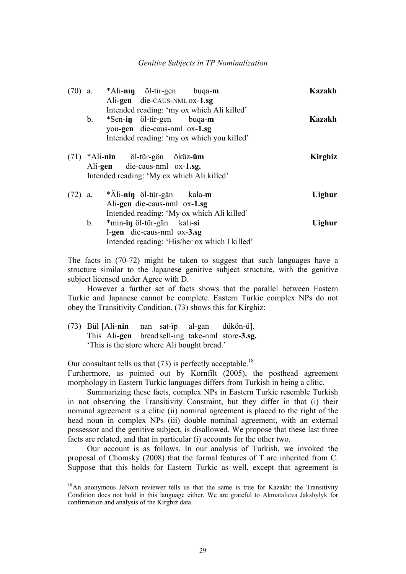#### *Genitive Subjects in TP Nominalization*

| (70) | a.             | *Ali-nin öl-tir-gen buqa-m                                                                                                                                                            | <b>Kazakh</b>  |
|------|----------------|---------------------------------------------------------------------------------------------------------------------------------------------------------------------------------------|----------------|
|      | $\mathbf{b}$ . | Ali-gen die-CAUS-NML ox-1.sg<br>Intended reading: 'my ox which Ali killed'<br>*Sen-in öl-tir-gen buga-m<br>you-gen die-caus-nml ox-1.sg<br>Intended reading: 'my ox which you killed' | <b>Kazakh</b>  |
|      |                | $(71)$ *Ali-nin öl-tür-gön öküz- <b>üm</b><br>Ali-gen die-caus-nml ox-1.sg.<br>Intended reading: 'My ox which Ali killed'                                                             | <b>Kirghiz</b> |
|      | $(72)$ a.      | *Äli-nin öl-tür-gän kala-m<br>Ali-gen die-caus-nml ox-1.sg<br>Intended reading: 'My ox which Ali killed'                                                                              | <b>Uighur</b>  |
|      | $b_{-}$        | *min-in öl-tür-gän kali-si<br>I-gen die-caus-nml ox-3.sg<br>Intended reading: 'His/her ox which I killed'                                                                             | <b>Uighur</b>  |

The facts in (70-72) might be taken to suggest that such languages have a structure similar to the Japanese genitive subject structure, with the genitive subject licensed under Agree with D.

However a further set of facts shows that the parallel between Eastern Turkic and Japanese cannot be complete. Eastern Turkic complex NPs do not obey the Transitivity Condition. (73) shows this for Kirghiz:

(73) Bül [Ali-**nin** nan sat-ïp al-gan dükön-ü]. This Ali-**gen** bread sell-ing take-nml store-**3.sg.** 'This is the store where Ali bought bread.'

 

Our consultant tells us that  $(73)$  is perfectly acceptable.<sup>18</sup> Furthermore, as pointed out by Kornfilt (2005), the posthead agreement morphology in Eastern Turkic languages differs from Turkish in being a clitic.

Summarizing these facts, complex NPs in Eastern Turkic resemble Turkish in not observing the Transitivity Constraint, but they differ in that (i) their nominal agreement is a clitic (ii) nominal agreement is placed to the right of the head noun in complex NPs (iii) double nominal agreement, with an external possessor and the genitive subject, is disallowed. We propose that these last three facts are related, and that in particular (i) accounts for the other two.

Our account is as follows. In our analysis of Turkish, we invoked the proposal of Chomsky (2008) that the formal features of T are inherited from C. Suppose that this holds for Eastern Turkic as well, except that agreement is

<sup>&</sup>lt;sup>18</sup>An anonymous JeNom reviewer tells us that the same is true for Kazakh: the Transitivity Condition does not hold in this language either. We are grateful to Akmatalieva Jakshylyk for confirmation and analysis of the Kirghiz data.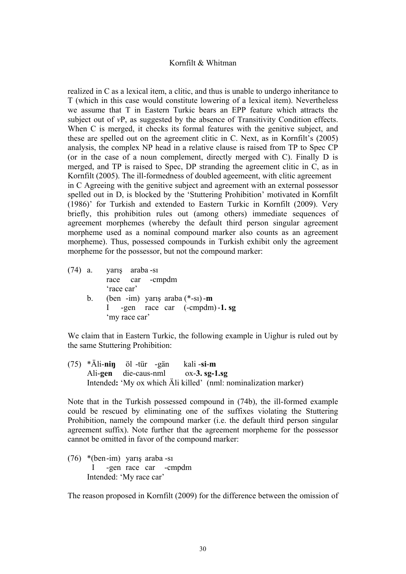realized in C as a lexical item, a clitic, and thus is unable to undergo inheritance to T (which in this case would constitute lowering of a lexical item). Nevertheless we assume that T in Eastern Turkic bears an EPP feature which attracts the subject out of *vP*, as suggested by the absence of Transitivity Condition effects. When C is merged, it checks its formal features with the genitive subject, and these are spelled out on the agreement clitic in C. Next, as in Kornfilt's (2005) analysis, the complex NP head in a relative clause is raised from TP to Spec CP (or in the case of a noun complement, directly merged with C). Finally D is merged, and TP is raised to Spec, DP stranding the agreement clitic in C, as in Kornfilt (2005). The ill-formedness of doubled ageemeent, with clitic agreement in C Agreeing with the genitive subject and agreement with an external possessor spelled out in D, is blocked by the 'Stuttering Prohibition' motivated in Kornfilt (1986)' for Turkish and extended to Eastern Turkic in Kornfilt (2009). Very briefly, this prohibition rules out (among others) immediate sequences of agreement morphemes (whereby the default third person singular agreement morpheme used as a nominal compound marker also counts as an agreement morpheme). Thus, possessed compounds in Turkish exhibit only the agreement morpheme for the possessor, but not the compound marker:

|           | $(74)$ a. yarış araba -sı          |
|-----------|------------------------------------|
|           | race car -cmpdm                    |
|           | 'race car'                         |
| $b_{\rm}$ | (ben -im) yarış araba $(*-s_1)$ -m |
|           | -gen race car (-cmpdm)-1.sg        |
|           | 'my race car'                      |

We claim that in Eastern Turkic, the following example in Uighur is ruled out by the same Stuttering Prohibition:

(75) \*Äli-**niŋ** öl -tür -gän kali -**si**-**m**  Ali-**gen** die-caus-nml ox-**3. sg-1.sg**  Intended**:** 'My ox which Äli killed' (nml: nominalization marker)

Note that in the Turkish possessed compound in (74b), the ill-formed example could be rescued by eliminating one of the suffixes violating the Stuttering Prohibition, namely the compound marker (i.e. the default third person singular agreement suffix). Note further that the agreement morpheme for the possessor cannot be omitted in favor of the compound marker:

(76) \*(ben -im) yarış araba -sı I -gen race car -cmpdm Intended: 'My race car'

The reason proposed in Kornfilt (2009) for the difference between the omission of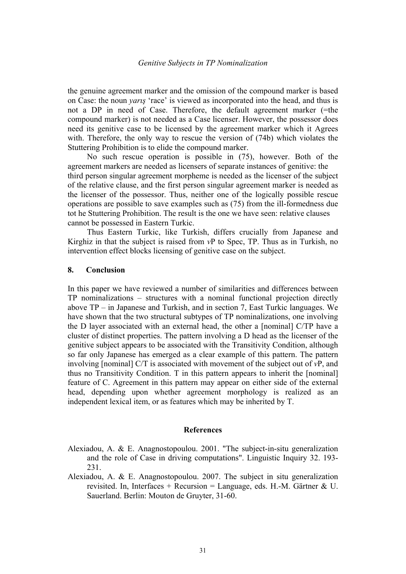the genuine agreement marker and the omission of the compound marker is based on Case: the noun *yarış* 'race' is viewed as incorporated into the head, and thus is not a DP in need of Case. Therefore, the default agreement marker (=the compound marker) is not needed as a Case licenser. However, the possessor does need its genitive case to be licensed by the agreement marker which it Agrees with. Therefore, the only way to rescue the version of (74b) which violates the Stuttering Prohibition is to elide the compound marker.

No such rescue operation is possible in (75), however. Both of the agreement markers are needed as licensers of separate instances of genitive: the third person singular agreement morpheme is needed as the licenser of the subject of the relative clause, and the first person singular agreement marker is needed as the licenser of the possessor. Thus, neither one of the logically possible rescue operations are possible to save examples such as (75) from the ill-formedness due tot he Stuttering Prohibition. The result is the one we have seen: relative clauses cannot be possessed in Eastern Turkic.

Thus Eastern Turkic, like Turkish, differs crucially from Japanese and Kirghiz in that the subject is raised from *v*P to Spec, TP. Thus as in Turkish, no intervention effect blocks licensing of genitive case on the subject.

## **8. Conclusion**

In this paper we have reviewed a number of similarities and differences between TP nominalizations – structures with a nominal functional projection directly above TP – in Japanese and Turkish, and in section 7, East Turkic languages. We have shown that the two structural subtypes of TP nominalizations, one involving the D layer associated with an external head, the other a [nominal] C/TP have a cluster of distinct properties. The pattern involving a D head as the licenser of the genitive subject appears to be associated with the Transitivity Condition, although so far only Japanese has emerged as a clear example of this pattern. The pattern involving [nominal] C/T is associated with movement of the subject out of *v*P, and thus no Transitivity Condition. T in this pattern appears to inherit the [nominal] feature of C. Agreement in this pattern may appear on either side of the external head, depending upon whether agreement morphology is realized as an independent lexical item, or as features which may be inherited by T.

## **References**

- Alexiadou, A. & E. Anagnostopoulou. 2001. "The subject-in-situ generalization and the role of Case in driving computations". Linguistic Inquiry 32. 193- 231.
- Alexiadou, A. & E. Anagnostopoulou. 2007. The subject in situ generalization revisited. In, Interfaces + Recursion = Language, eds. H.-M. Gärtner  $\&$  U. Sauerland. Berlin: Mouton de Gruyter, 31-60.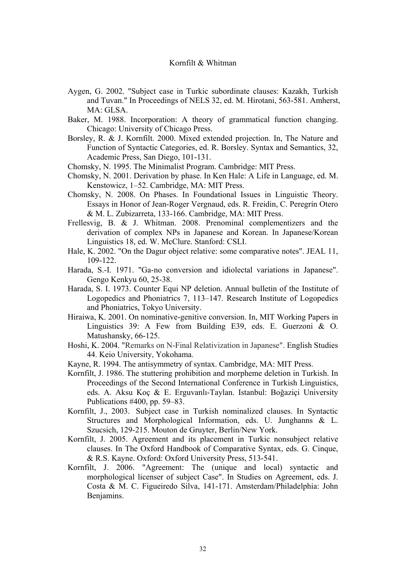- Aygen, G. 2002. "Subject case in Turkic subordinate clauses: Kazakh, Turkish and Tuvan." In Proceedings of NELS 32, ed. M. Hirotani, 563-581. Amherst, MA: GLSA.
- Baker, M. 1988. Incorporation: A theory of grammatical function changing. Chicago: University of Chicago Press.
- Borsley, R. & J. Kornfilt. 2000. Mixed extended projection. In, The Nature and Function of Syntactic Categories, ed. R. Borsley. Syntax and Semantics, 32, Academic Press, San Diego, 101-131.
- Chomsky, N. 1995. The Minimalist Program. Cambridge: MIT Press.
- Chomsky, N. 2001. Derivation by phase. In Ken Hale: A Life in Language, ed. M. Kenstowicz, 1–52. Cambridge, MA: MIT Press.
- Chomsky, N. 2008. On Phases. In Foundational Issues in Linguistic Theory. Essays in Honor of Jean-Roger Vergnaud, eds. R. Freidin, C. Peregrín Otero & M. L. Zubizarreta, 133-166. Cambridge, MA: MIT Press.
- Frellesvig, B. & J. Whitman. 2008. Prenominal complementizers and the derivation of complex NPs in Japanese and Korean. In Japanese/Korean Linguistics 18, ed. W. McClure. Stanford: CSLI.
- Hale, K. 2002. "On the Dagur object relative: some comparative notes". JEAL 11, 109-122.
- Harada, S.-I. 1971. "Ga-no conversion and idiolectal variations in Japanese". Gengo Kenkyu 60, 25-38.
- Harada, S. I. 1973. Counter Equi NP deletion. Annual bulletin of the Institute of Logopedics and Phoniatrics 7, 113–147. Research Institute of Logopedics and Phoniatrics, Tokyo University.
- Hiraiwa, K. 2001. On nominative-genitive conversion. In, MIT Working Papers in Linguistics 39: A Few from Building E39, eds. E. Guerzoni & O. Matushansky, 66-125.
- Hoshi, K. 2004. "Remarks on N-Final Relativization in Japanese". English Studies 44. Keio University, Yokohama.
- Kayne, R. 1994. The antisymmetry of syntax. Cambridge, MA: MIT Press.
- Kornfilt, J. 1986. The stuttering prohibition and morpheme deletion in Turkish. In Proceedings of the Second International Conference in Turkish Linguistics, eds. A. Aksu Koç & E. Erguvanlı-Taylan. Istanbul: Boğaziçi University Publications #400, pp. 59–83.
- Kornfilt, J., 2003. Subject case in Turkish nominalized clauses. In Syntactic Structures and Morphological Information, eds. U. Junghanns & L. Szucsich, 129-215. Mouton de Gruyter, Berlin/New York.
- Kornfilt, J. 2005. Agreement and its placement in Turkic nonsubject relative clauses. In The Oxford Handbook of Comparative Syntax, eds. G. Cinque, & R.S. Kayne. Oxford: Oxford University Press, 513-541.
- Kornfilt, J. 2006. "Agreement: The (unique and local) syntactic and morphological licenser of subject Case". In Studies on Agreement, eds. J. Costa & M. C. Figueiredo Silva, 141-171. Amsterdam/Philadelphia: John Benjamins.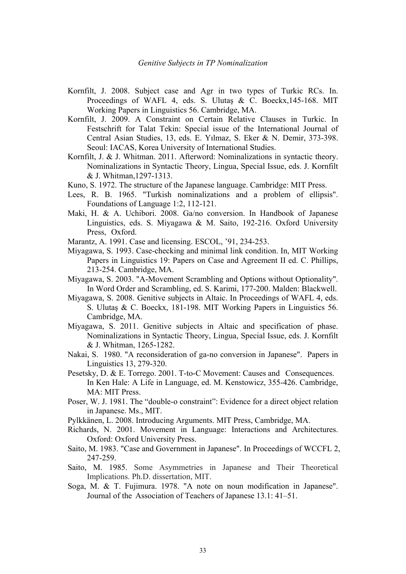- Kornfilt, J. 2008. Subject case and Agr in two types of Turkic RCs. In. Proceedings of WAFL 4, eds. S. Ulutaş & C. Boeckx, 145-168. MIT Working Papers in Linguistics 56. Cambridge, MA.
- Kornfilt, J. 2009. A Constraint on Certain Relative Clauses in Turkic. In Festschrift for Talat Tekin: Special issue of the International Journal of Central Asian Studies, 13, eds. E. Yılmaz, S. Eker & N. Demir, 373-398. Seoul: IACAS, Korea University of International Studies.
- Kornfilt, J. & J. Whitman. 2011. Afterword: Nominalizations in syntactic theory. Nominalizations in Syntactic Theory, Lingua, Special Issue, eds. J. Kornfilt & J. Whitman,1297-1313.
- Kuno, S. 1972. The structure of the Japanese language. Cambridge: MIT Press.
- Lees, R. B. 1965. "Turkish nominalizations and a problem of ellipsis". Foundations of Language 1:2, 112-121.
- Maki, H. & A. Uchibori. 2008. Ga/no conversion. In Handbook of Japanese Linguistics, eds. S. Miyagawa & M. Saito, 192-216. Oxford University Press, Oxford.
- Marantz, A. 1991. Case and licensing. ESCOL, '91, 234-253.
- Miyagawa, S. 1993. Case-checking and minimal link condition. In, MIT Working Papers in Linguistics 19: Papers on Case and Agreement II ed. C. Phillips, 213-254. Cambridge, MA.
- Miyagawa, S. 2003. "A-Movement Scrambling and Options without Optionality". In Word Order and Scrambling, ed. S. Karimi, 177-200. Malden: Blackwell.
- Miyagawa, S. 2008. Genitive subjects in Altaic. In Proceedings of WAFL 4, eds. S. Ulutaş & C. Boeckx, 181-198. MIT Working Papers in Linguistics 56. Cambridge, MA.
- Miyagawa, S. 2011. Genitive subjects in Altaic and specification of phase. Nominalizations in Syntactic Theory, Lingua, Special Issue, eds. J. Kornfilt & J. Whitman, 1265-1282.
- Nakai, S. 1980. "A reconsideration of ga-no conversion in Japanese". Papers in Linguistics 13, 279-320.
- Pesetsky, D. & E. Torrego. 2001. T-to-C Movement: Causes and Consequences. In Ken Hale: A Life in Language, ed. M. Kenstowicz, 355-426. Cambridge, MA: MIT Press.
- Poser, W. J. 1981. The "double-o constraint": Evidence for a direct object relation in Japanese. Ms., MIT.
- Pylkkänen, L. 2008. Introducing Arguments. MIT Press, Cambridge, MA.
- Richards, N. 2001. Movement in Language: Interactions and Architectures. Oxford: Oxford University Press.
- Saito, M. 1983. "Case and Government in Japanese". In Proceedings of WCCFL 2, 247-259.
- Saito, M. 1985. Some Asymmetries in Japanese and Their Theoretical Implications. Ph.D. dissertation, MIT.
- Soga, M. & T. Fujimura. 1978. "A note on noun modification in Japanese". Journal of the Association of Teachers of Japanese 13.1: 41–51.